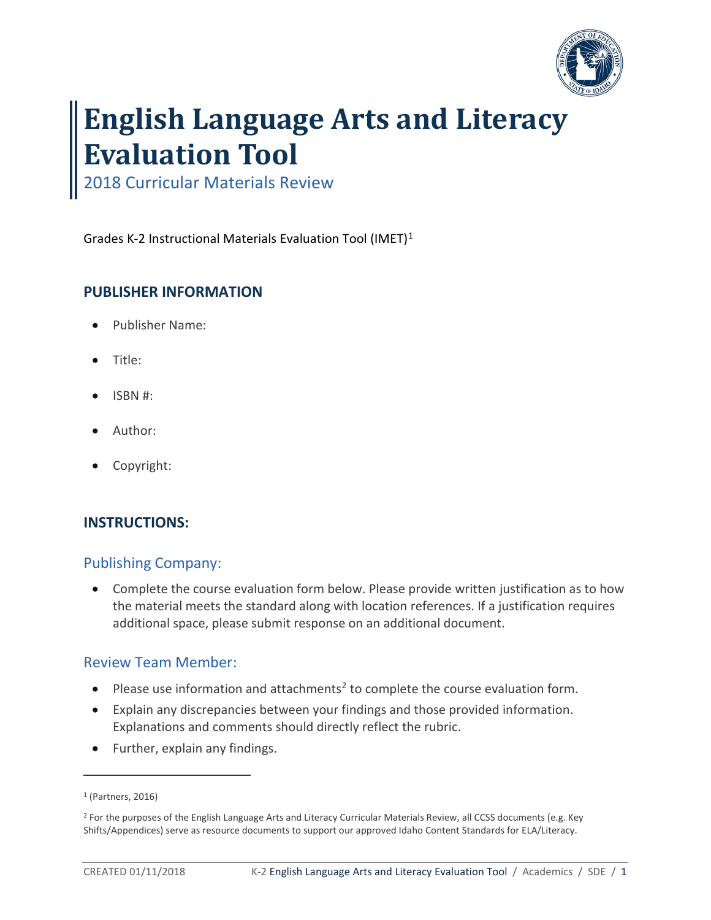

# **English Language Arts and Literacy Evaluation Tool**

2018 Curricular Materials Review

Grades K-2 Instructional Materials Evaluation Tool (IMET)[1](#page-0-0)

# **PUBLISHER INFORMATION**

- Publisher Name:
- Title:
- ISBN #:
- Author:
- Copyright:

# **INSTRUCTIONS:**

# Publishing Company:

• Complete the course evaluation form below. Please provide written justification as to how the material meets the standard along with location references. If a justification requires additional space, please submit response on an additional document.

# Review Team Member:

- Please use information and attachments<sup>2</sup> to complete the course evaluation form.
- Explain any discrepancies between your findings and those provided information. Explanations and comments should directly reflect the rubric.
- Further, explain any findings.

 $\overline{a}$ 

<span id="page-0-0"></span><sup>1</sup> (Partners, 2016)

<sup>&</sup>lt;sup>2</sup> For the purposes of the English Language Arts and Literacy Curricular Materials Review, all CCSS documents (e.g. Key Shifts/Appendices) serve as resource documents to support our approved Idaho Content Standards for ELA/Literacy.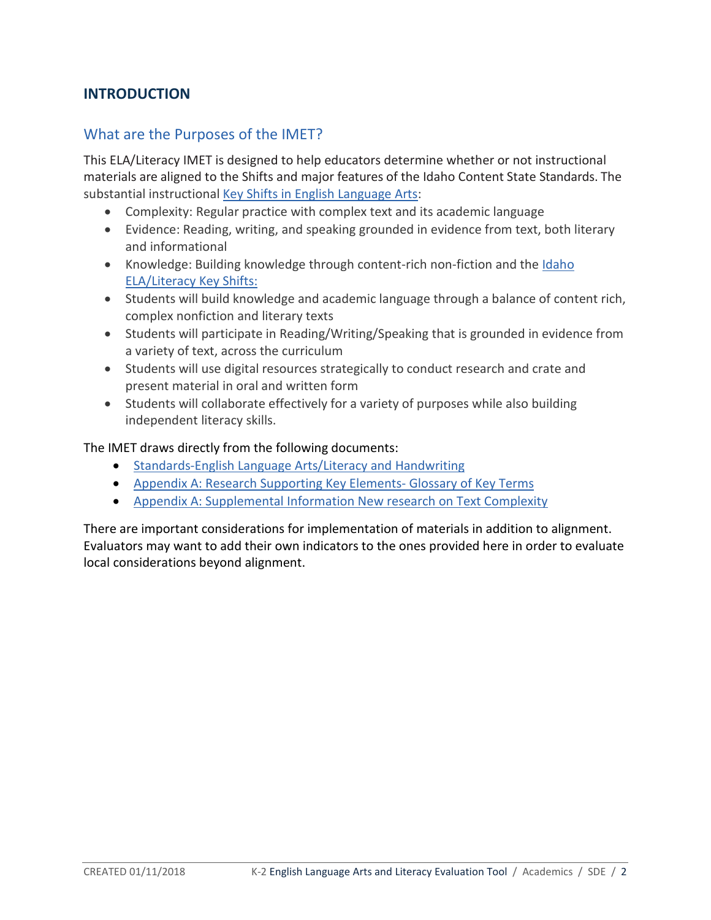# **INTRODUCTION**

# What are the Purposes of the IMET?

This ELA/Literacy IMET is designed to help educators determine whether or not instructional materials are aligned to the Shifts and major features of the Idaho Content State Standards. The substantial instructional [Key Shifts in English Language Arts:](http://www.corestandards.org/other-resources/key-shifts-in-english-language-arts/)

- Complexity: Regular practice with complex text and its academic language
- Evidence: Reading, writing, and speaking grounded in evidence from text, both literary and informational
- Knowledge: Building knowledge through content-rich non-fiction and the [Idaho](http://www.sde.idaho.gov/academic/ela-literacy/files/standards/getting-started/Idaho-Content-Key-Shifts-Flyer.pdf) [ELA/Literacy Key Shifts:](http://www.sde.idaho.gov/academic/ela-literacy/files/standards/getting-started/Idaho-Content-Key-Shifts-Flyer.pdf)
- Students will build knowledge and academic language through a balance of content rich, complex nonfiction and literary texts
- Students will participate in Reading/Writing/Speaking that is grounded in evidence from a variety of text, across the curriculum
- Students will use digital resources strategically to conduct research and crate and present material in oral and written form
- Students will collaborate effectively for a variety of purposes while also building independent literacy skills.

The IMET draws directly from the following documents:

- [Standards-English Language Arts/Literacy and Handwriting](http://www.sde.idaho.gov/academic/shared/ela-literacy/booklets/ELA-Literacy-Standards.pdf)
- [Appendix A: Research Supporting Key Elements- Glossary of Key Terms](http://www.corestandards.org/assets/Appendix_A.pdf)
- [Appendix A: Supplemental Information New research on Text Complexity](http://www.corestandards.org/assets/E0813_Appendix_A_New_Research_on_Text_Complexity.pdf)

There are important considerations for implementation of materials in addition to alignment. Evaluators may want to add their own indicators to the ones provided here in order to evaluate local considerations beyond alignment.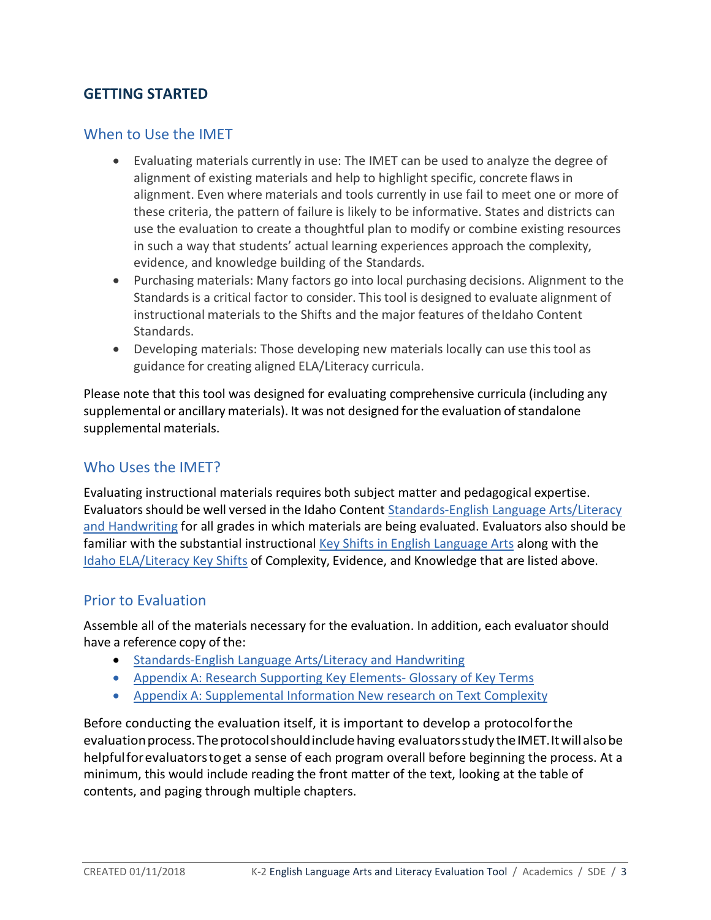# **GETTING STARTED**

# When to Use the IMET

- Evaluating materials currently in use: The IMET can be used to analyze the degree of alignment of existing materials and help to highlight specific, concrete flaws in alignment. Even where materials and tools currently in use fail to meet one or more of these criteria, the pattern of failure is likely to be informative. States and districts can use the evaluation to create a thoughtful plan to modify or combine existing resources in such a way that students' actual learning experiences approach the complexity, evidence, and knowledge building of the Standards.
- Purchasing materials: Many factors go into local purchasing decisions. Alignment to the Standards is a critical factor to consider. Thistool is designed to evaluate alignment of instructional materials to the Shifts and the major features of theIdaho Content Standards.
- Developing materials: Those developing new materials locally can use thistool as guidance for creating aligned ELA/Literacy curricula.

Please note that this tool was designed for evaluating comprehensive curricula (including any supplemental or ancillary materials). It was not designed for the evaluation of standalone supplemental materials.

## Who Uses the IMET?

Evaluating instructional materials requires both subject matter and pedagogical expertise. Evaluators should be well versed in the Idaho Content Standards-English Language Arts/Literacy [and Handwriting](http://www.sde.idaho.gov/academic/shared/ela-literacy/booklets/ELA-Literacy-Standards.pdf) for all grades in which materials are being evaluated. Evaluators also should be familiar with the substantial instructional [Key Shifts in English Language Arts](http://www.corestandards.org/other-resources/key-shifts-in-english-language-arts/) along with the [Idaho ELA/Literacy Key Shifts](http://www.sde.idaho.gov/academic/ela-literacy/files/standards/getting-started/Idaho-Content-Key-Shifts-Flyer.pdf) of Complexity, Evidence, and Knowledge that are listed above.

## Prior to Evaluation

Assemble all of the materials necessary for the evaluation. In addition, each evaluator should have a reference copy of the:

- [Standards-English Language Arts/Literacy and Handwriting](http://www.sde.idaho.gov/academic/shared/ela-literacy/booklets/ELA-Literacy-Standards.pdf)
- [Appendix A: Research Supporting Key Elements- Glossary of Key Terms](http://www.corestandards.org/assets/Appendix_A.pdf)
- [Appendix A: Supplemental Information New research on Text Complexity](http://www.corestandards.org/assets/E0813_Appendix_A_New_Research_on_Text_Complexity.pdf)

Before conducting the evaluation itself, it is important to develop a protocolforthe evaluation process. The protocol should include having evaluators study the IMET. It will also be helpfulforevaluatorstoget a sense of each program overall before beginning the process. At a minimum, this would include reading the front matter of the text, looking at the table of contents, and paging through multiple chapters.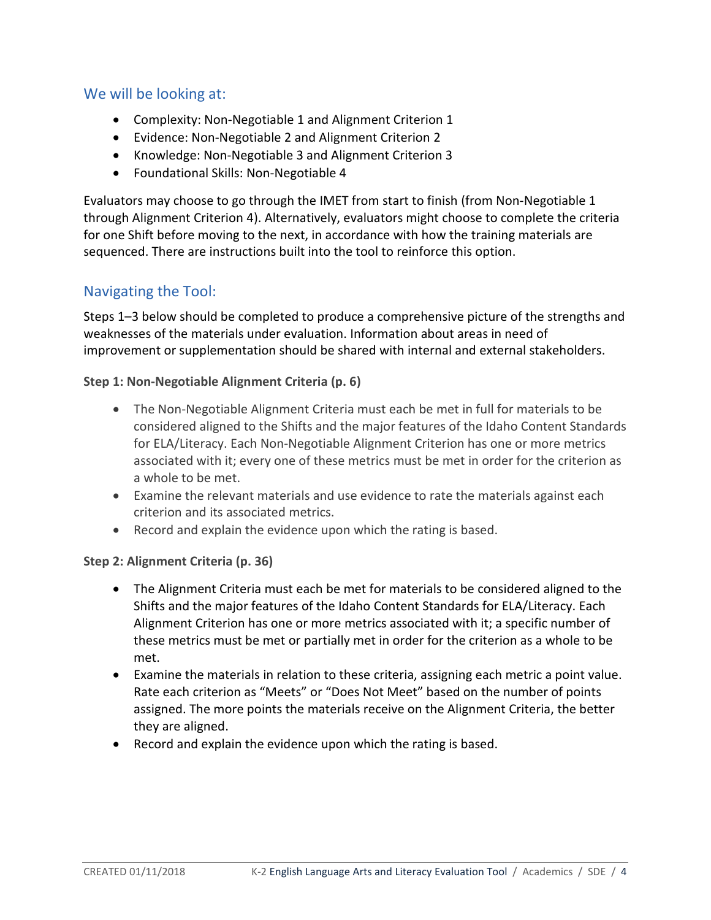# We will be looking at:

- Complexity: Non-Negotiable 1 and Alignment Criterion 1
- Evidence: Non-Negotiable 2 and Alignment Criterion 2
- Knowledge: Non-Negotiable 3 and Alignment Criterion 3
- Foundational Skills: Non-Negotiable 4

Evaluators may choose to go through the IMET from start to finish (from Non-Negotiable 1 through Alignment Criterion 4). Alternatively, evaluators might choose to complete the criteria for one Shift before moving to the next, in accordance with how the training materials are sequenced. There are instructions built into the tool to reinforce this option.

# Navigating the Tool:

Steps 1–3 below should be completed to produce a comprehensive picture of the strengths and weaknesses of the materials under evaluation. Information about areas in need of improvement or supplementation should be shared with internal and external stakeholders.

### **Step 1: Non-Negotiable Alignment Criteria (p. 6)**

- The Non-Negotiable Alignment Criteria must each be met in full for materials to be considered aligned to the Shifts and the major features of the Idaho Content Standards for ELA/Literacy. Each Non-Negotiable Alignment Criterion has one or more metrics associated with it; every one of these metrics must be met in order for the criterion as a whole to be met.
- Examine the relevant materials and use evidence to rate the materials against each criterion and its associated metrics.
- Record and explain the evidence upon which the rating is based.

#### **Step 2: Alignment Criteria (p. 36)**

- The Alignment Criteria must each be met for materials to be considered aligned to the Shifts and the major features of the Idaho Content Standards for ELA/Literacy. Each Alignment Criterion has one or more metrics associated with it; a specific number of these metrics must be met or partially met in order for the criterion as a whole to be met.
- Examine the materials in relation to these criteria, assigning each metric a point value. Rate each criterion as "Meets" or "Does Not Meet" based on the number of points assigned. The more points the materials receive on the Alignment Criteria, the better they are aligned.
- Record and explain the evidence upon which the rating is based.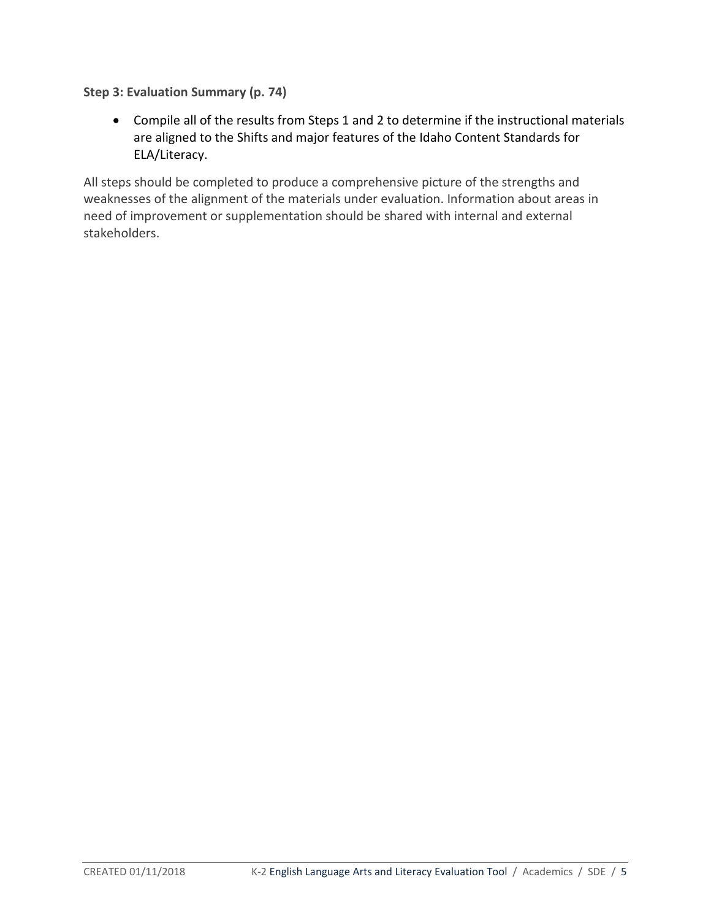**Step 3: Evaluation Summary (p. 74)**

• Compile all of the results from Steps 1 and 2 to determine if the instructional materials are aligned to the Shifts and major features of the Idaho Content Standards for ELA/Literacy.

All steps should be completed to produce a comprehensive picture of the strengths and weaknesses of the alignment of the materials under evaluation. Information about areas in need of improvement or supplementation should be shared with internal and external stakeholders.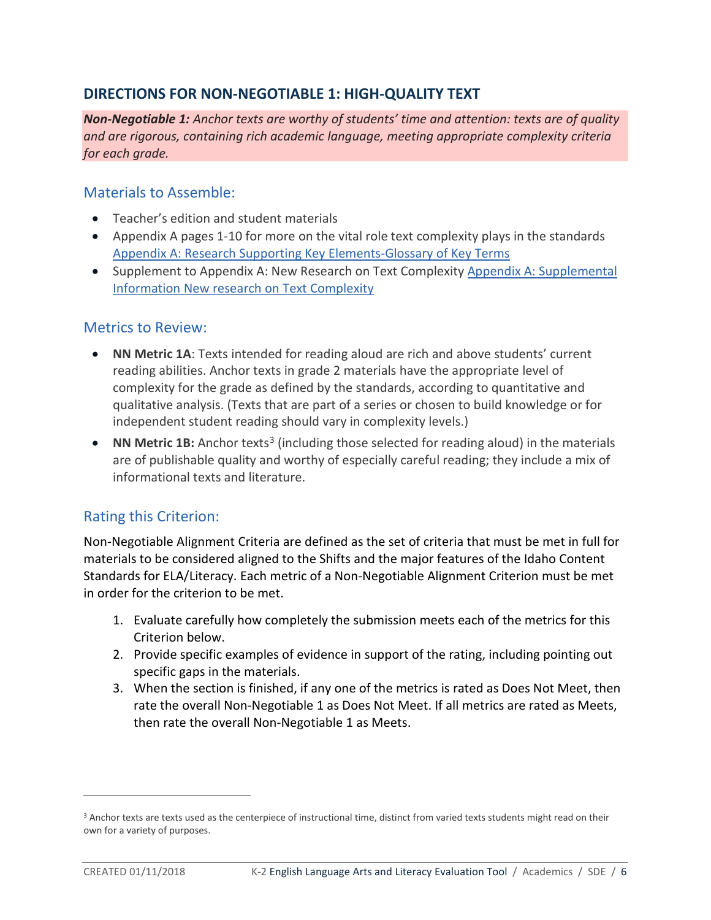# **DIRECTIONS FOR NON-NEGOTIABLE 1: HIGH-QUALITY TEXT**

*Non-Negotiable 1: Anchor texts are worthy of students' time and attention: texts are of quality and are rigorous, containing rich academic language, meeting appropriate complexity criteria for each grade.*

## Materials to Assemble:

- Teacher's edition and student materials
- Appendix A pages 1-10 for more on the vital role text complexity plays in the standards [Appendix A: Research Supporting Key Elements-Glossary of Key Terms](http://www.corestandards.org/assets/Appendix_A.pdf)
- Supplement to Appendix A: New Research on Text Complexity [Appendix A: Supplemental](http://www.corestandards.org/assets/E0813_Appendix_A_New_Research_on_Text_Complexity.pdf)  I[nformation New research on Text Complexity](http://www.corestandards.org/assets/E0813_Appendix_A_New_Research_on_Text_Complexity.pdf)

# Metrics to Review:

- **NN Metric 1A**: Texts intended for reading aloud are rich and above students' current reading abilities. Anchor texts in grade 2 materials have the appropriate level of complexity for the grade as defined by the standards, according to quantitative and qualitative analysis. (Texts that are part of a series or chosen to build knowledge or for independent student reading should vary in complexity levels.)
- **NN Metric 1B:** Anchor texts<sup>3</sup> (including those selected for reading aloud) in the materials are of publishable quality and worthy of especially careful reading; they include a mix of informational texts and literature.

# Rating this Criterion:

Non-Negotiable Alignment Criteria are defined as the set of criteria that must be met in full for materials to be considered aligned to the Shifts and the major features of the Idaho Content Standards for ELA/Literacy. Each metric of a Non-Negotiable Alignment Criterion must be met in order for the criterion to be met.

- 1. Evaluate carefully how completely the submission meets each of the metrics for this Criterion below.
- 2. Provide specific examples of evidence in support of the rating, including pointing out specific gaps in the materials.
- 3. When the section is finished, if any one of the metrics is rated as Does Not Meet, then rate the overall Non-Negotiable 1 as Does Not Meet. If all metrics are rated as Meets, then rate the overall Non-Negotiable 1 as Meets.

 $\overline{a}$ 

<sup>&</sup>lt;sup>3</sup> Anchor texts are texts used as the centerpiece of instructional time, distinct from varied texts students might read on their own for a variety of purposes.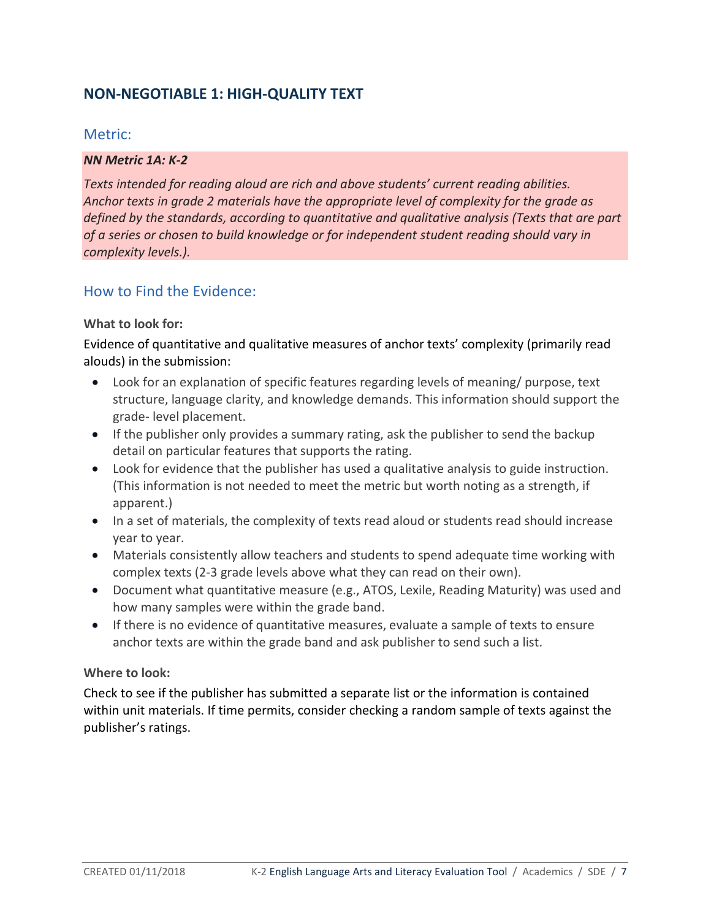# **NON-NEGOTIABLE 1: HIGH-QUALITY TEXT**

## Metric:

#### *NN Metric 1A: K-2*

*Texts intended for reading aloud are rich and above students' current reading abilities. Anchor texts in grade 2 materials have the appropriate level of complexity for the grade as defined by the standards, according to quantitative and qualitative analysis (Texts that are part of a series or chosen to build knowledge or for independent student reading should vary in complexity levels.).*

## How to Find the Evidence:

### **What to look for:**

Evidence of quantitative and qualitative measures of anchor texts' complexity (primarily read alouds) in the submission:

- Look for an explanation of specific features regarding levels of meaning/ purpose, text structure, language clarity, and knowledge demands. This information should support the grade- level placement.
- If the publisher only provides a summary rating, ask the publisher to send the backup detail on particular features that supports the rating.
- Look for evidence that the publisher has used a qualitative analysis to guide instruction. (This information is not needed to meet the metric but worth noting as a strength, if apparent.)
- In a set of materials, the complexity of texts read aloud or students read should increase year to year.
- Materials consistently allow teachers and students to spend adequate time working with complex texts (2-3 grade levels above what they can read on their own).
- Document what quantitative measure (e.g., ATOS, Lexile, Reading Maturity) was used and how many samples were within the grade band.
- If there is no evidence of quantitative measures, evaluate a sample of texts to ensure anchor texts are within the grade band and ask publisher to send such a list.

#### **Where to look:**

Check to see if the publisher has submitted a separate list or the information is contained within unit materials. If time permits, consider checking a random sample of texts against the publisher's ratings.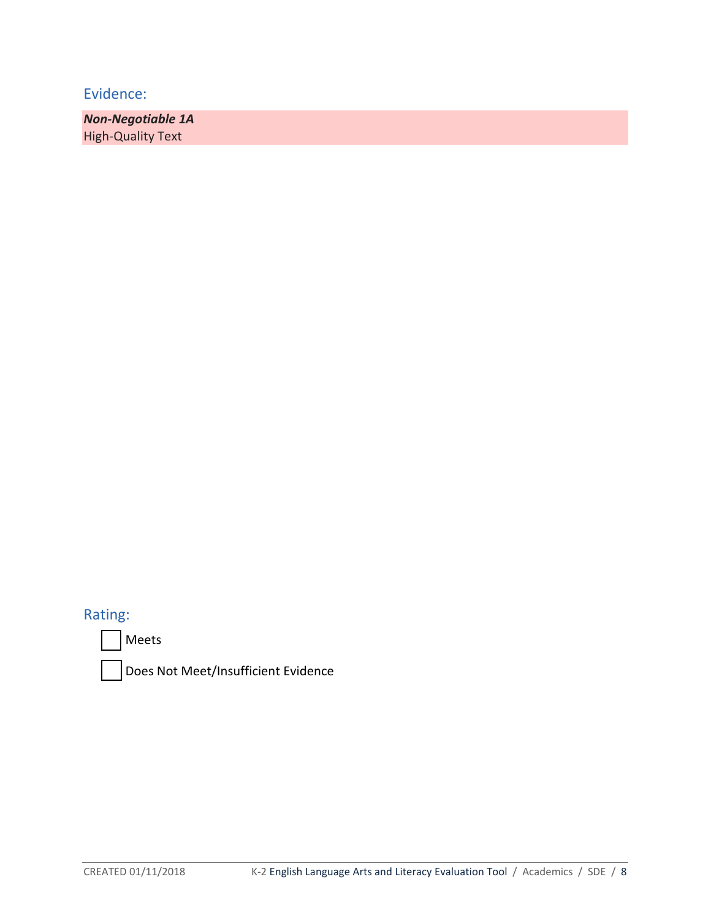*Non-Negotiable 1A* High-Quality Text

Rating:

Meets

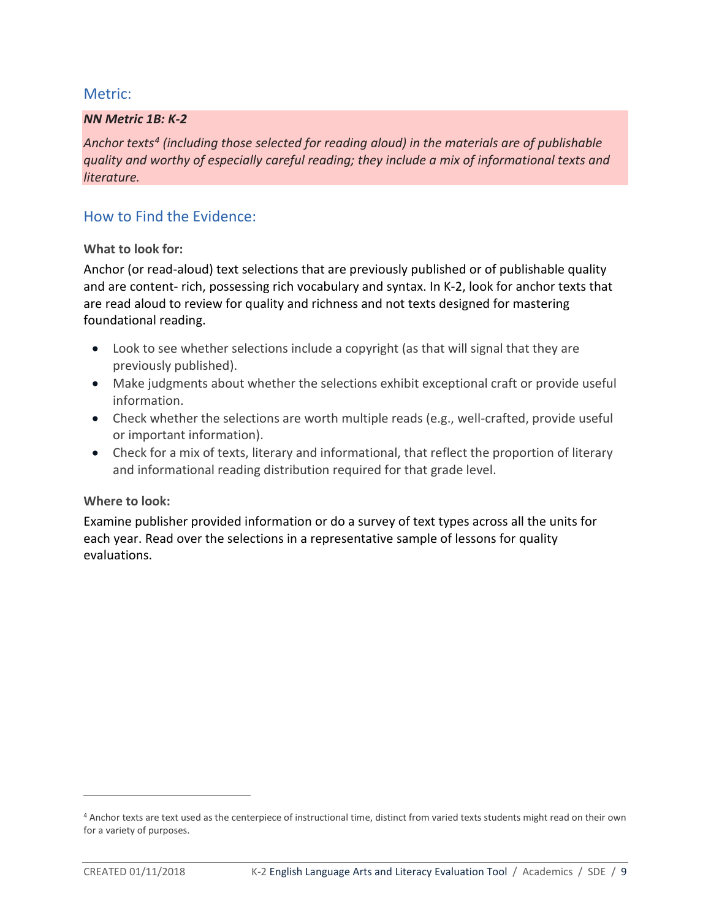## Metric:

### *NN Metric 1B: K-2*

*Anchor texts4 (including those selected for reading aloud) in the materials are of publishable quality and worthy of especially careful reading; they include a mix of informational texts and literature.*

## How to Find the Evidence:

#### **What to look for:**

Anchor (or read-aloud) text selections that are previously published or of publishable quality and are content- rich, possessing rich vocabulary and syntax. In K-2, look for anchor texts that are read aloud to review for quality and richness and not texts designed for mastering foundational reading.

- Look to see whether selections include a copyright (as that will signal that they are previously published).
- Make judgments about whether the selections exhibit exceptional craft or provide useful information.
- Check whether the selections are worth multiple reads (e.g., well-crafted, provide useful or important information).
- Check for a mix of texts, literary and informational, that reflect the proportion of literary and informational reading distribution required for that grade level.

#### **Where to look:**

Examine publisher provided information or do a survey of text types across all the units for each year. Read over the selections in a representative sample of lessons for quality evaluations.

 $\overline{a}$ 

<sup>4</sup> Anchor texts are text used as the centerpiece of instructional time, distinct from varied texts students might read on their own for a variety of purposes.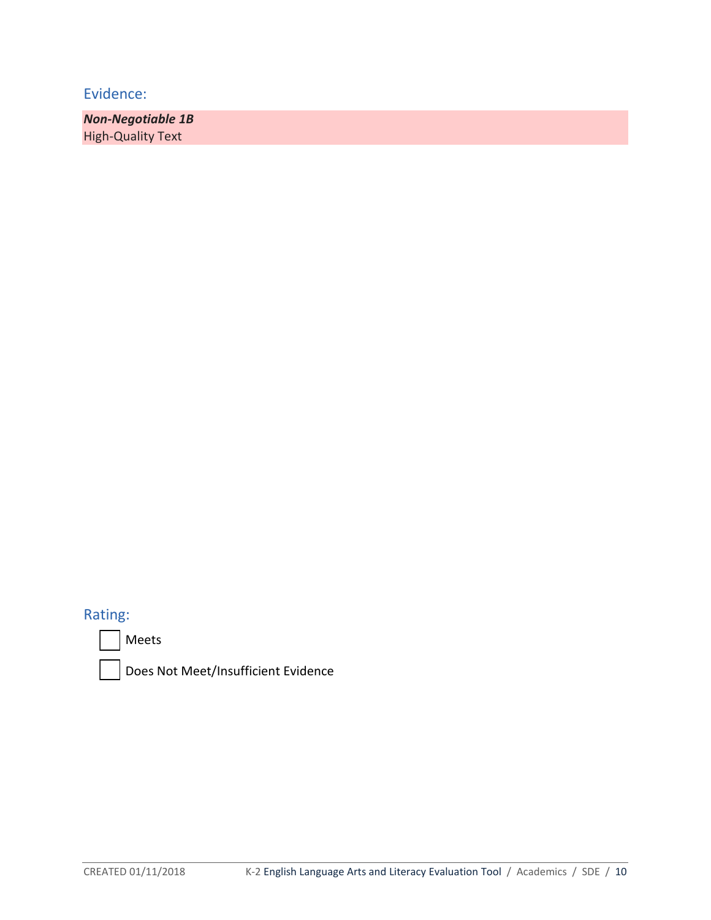*Non-Negotiable 1B*  High-Quality Text

# Rating:



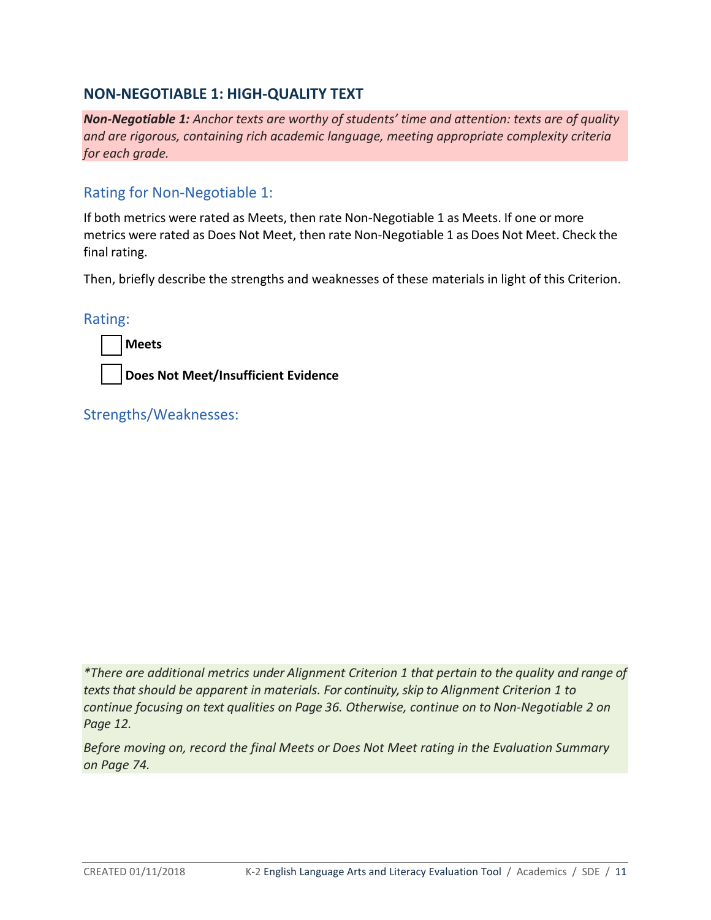## **NON-NEGOTIABLE 1: HIGH-QUALITY TEXT**

*Non-Negotiable 1: Anchor texts are worthy of students' time and attention: texts are of quality and are rigorous, containing rich academic language, meeting appropriate complexity criteria for each grade.*

# Rating for Non-Negotiable 1:

If both metrics were rated as Meets, then rate Non-Negotiable 1 as Meets. If one or more metrics were rated as Does Not Meet, then rate Non-Negotiable 1 as Does Not Meet. Check the final rating.

Then, briefly describe the strengths and weaknesses of these materials in light of this Criterion.

Rating:

**Meets**

**Does Not Meet/Insufficient Evidence** 

Strengths/Weaknesses:

*\*There are additional metrics under Alignment Criterion 1 that pertain to the quality and range of texts that should be apparent in materials. For continuity, skip to Alignment Criterion 1 to continue focusing on text qualities on Page 36. Otherwise, continue on to Non-Negotiable 2 on Page 12.* 

*Before moving on, record the final Meets or Does Not Meet rating in the Evaluation Summary on Page 74.*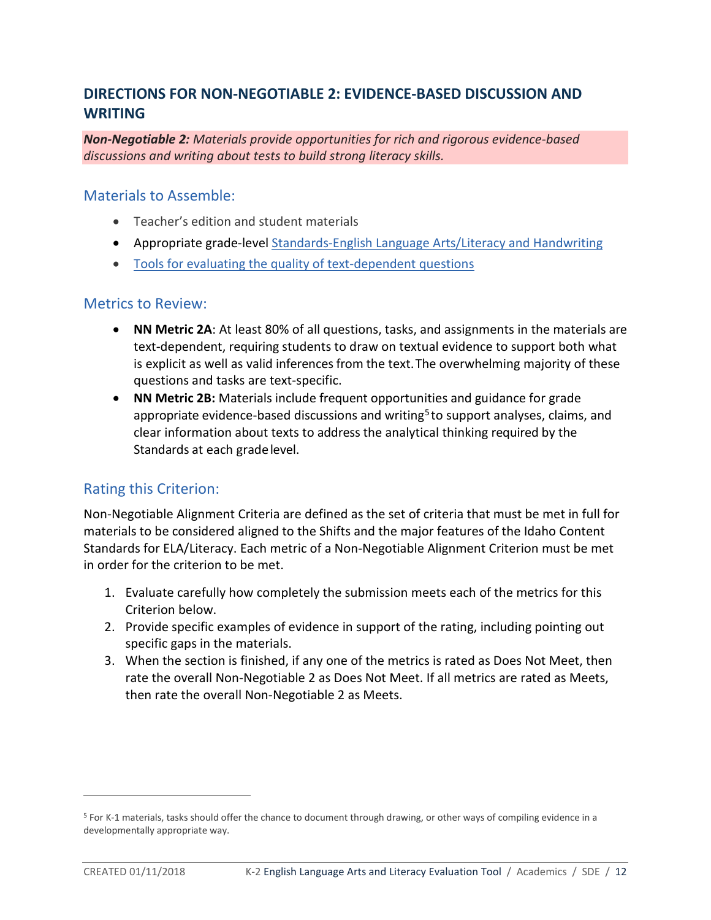# **DIRECTIONS FOR NON-NEGOTIABLE 2: EVIDENCE-BASED DISCUSSION AND WRITING**

*Non-Negotiable 2: Materials provide opportunities for rich and rigorous evidence-based discussions and writing about tests to build strong literacy skills.*

### Materials to Assemble:

- Teacher's edition and student materials
- Appropriate grade-level [Standards-English Language Arts/Literacy and Handwriting](http://www.sde.idaho.gov/academic/shared/ela-literacy/booklets/ELA-Literacy-Standards.pdf)
- [Tools for evaluating the quality of text-dependent questions](http://achievethecore.org/page/710/text-dependent-question-resources)

### Metrics to Review:

- **NN Metric 2A**: At least 80% of all questions, tasks, and assignments in the materials are text-dependent, requiring students to draw on textual evidence to support both what is explicit as well as valid inferences from the text.The overwhelming majority of these questions and tasks are text-specific.
- **NN Metric 2B:** Materials include frequent opportunities and guidance for grade appropriate evidence-based discussions and writing<sup>5</sup> to support analyses, claims, and clear information about texts to address the analytical thinking required by the Standards at each gradelevel.

# Rating this Criterion:

Non-Negotiable Alignment Criteria are defined as the set of criteria that must be met in full for materials to be considered aligned to the Shifts and the major features of the Idaho Content Standards for ELA/Literacy. Each metric of a Non-Negotiable Alignment Criterion must be met in order for the criterion to be met.

- 1. Evaluate carefully how completely the submission meets each of the metrics for this Criterion below.
- 2. Provide specific examples of evidence in support of the rating, including pointing out specific gaps in the materials.
- 3. When the section is finished, if any one of the metrics is rated as Does Not Meet, then rate the overall Non-Negotiable 2 as Does Not Meet. If all metrics are rated as Meets, then rate the overall Non-Negotiable 2 as Meets.

 $\overline{a}$ 

<sup>5</sup> For K-1 materials, tasks should offer the chance to document through drawing, or other ways of compiling evidence in a developmentally appropriate way.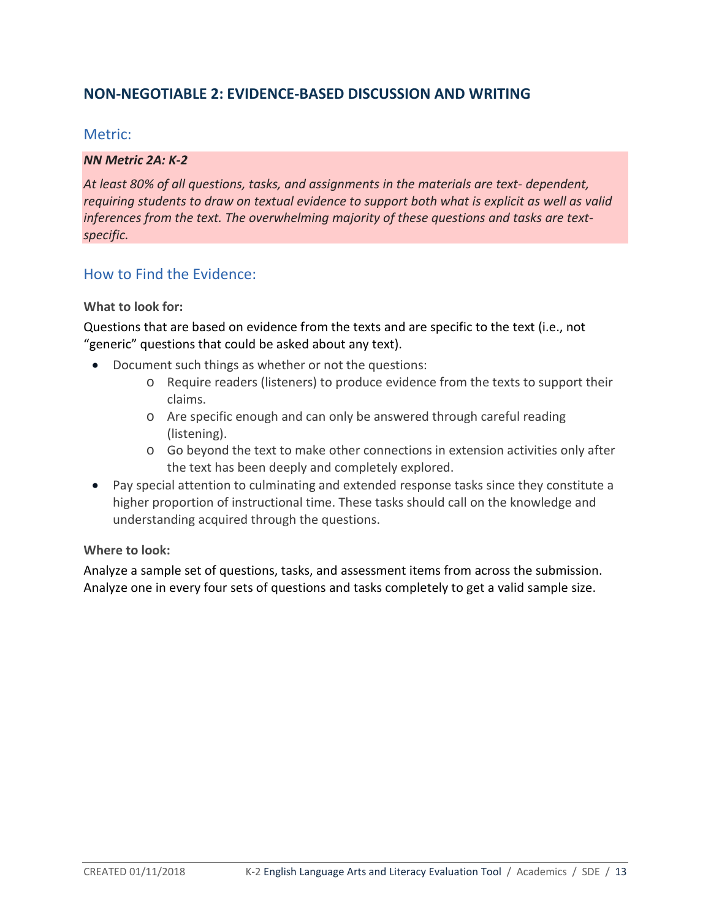# **NON-NEGOTIABLE 2: EVIDENCE-BASED DISCUSSION AND WRITING**

## Metric:

#### *NN Metric 2A: K-2*

*At least 80% of all questions, tasks, and assignments in the materials are text- dependent, requiring students to draw on textual evidence to support both what is explicit as well as valid inferences from the text. The overwhelming majority of these questions and tasks are textspecific.*

## How to Find the Evidence:

#### **What to look for:**

Questions that are based on evidence from the texts and are specific to the text (i.e., not "generic" questions that could be asked about any text).

- Document such things as whether or not the questions:
	- o Require readers (listeners) to produce evidence from the texts to support their claims.
	- o Are specific enough and can only be answered through careful reading (listening).
	- o Go beyond the text to make other connections in extension activities only after the text has been deeply and completely explored.
- Pay special attention to culminating and extended response tasks since they constitute a higher proportion of instructional time. These tasks should call on the knowledge and understanding acquired through the questions.

## **Where to look:**

Analyze a sample set of questions, tasks, and assessment items from across the submission. Analyze one in every four sets of questions and tasks completely to get a valid sample size.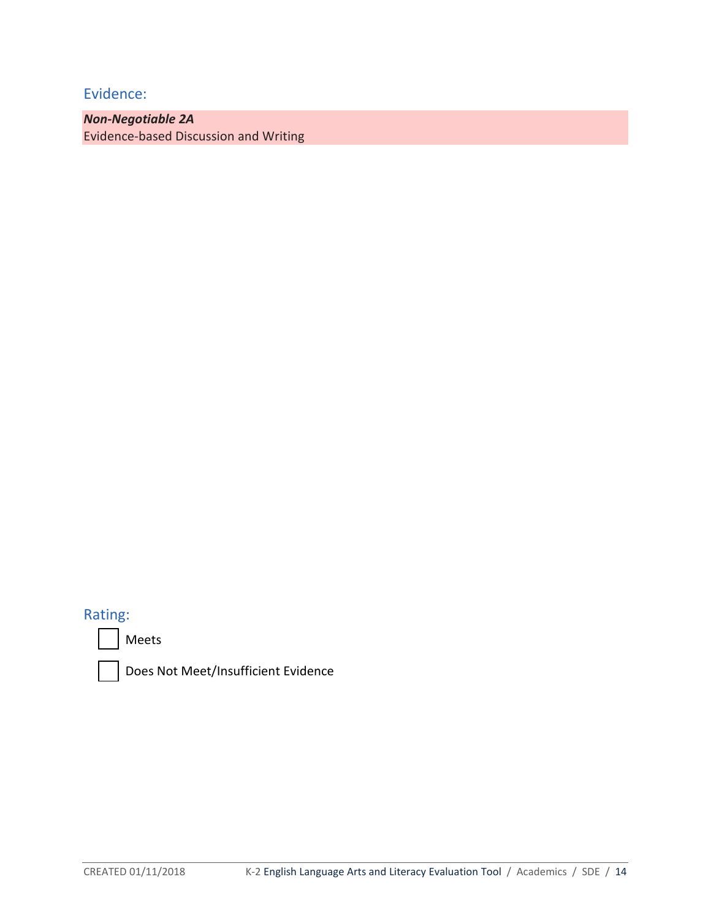*Non-Negotiable 2A* Evidence-based Discussion and Writing

# Rating:



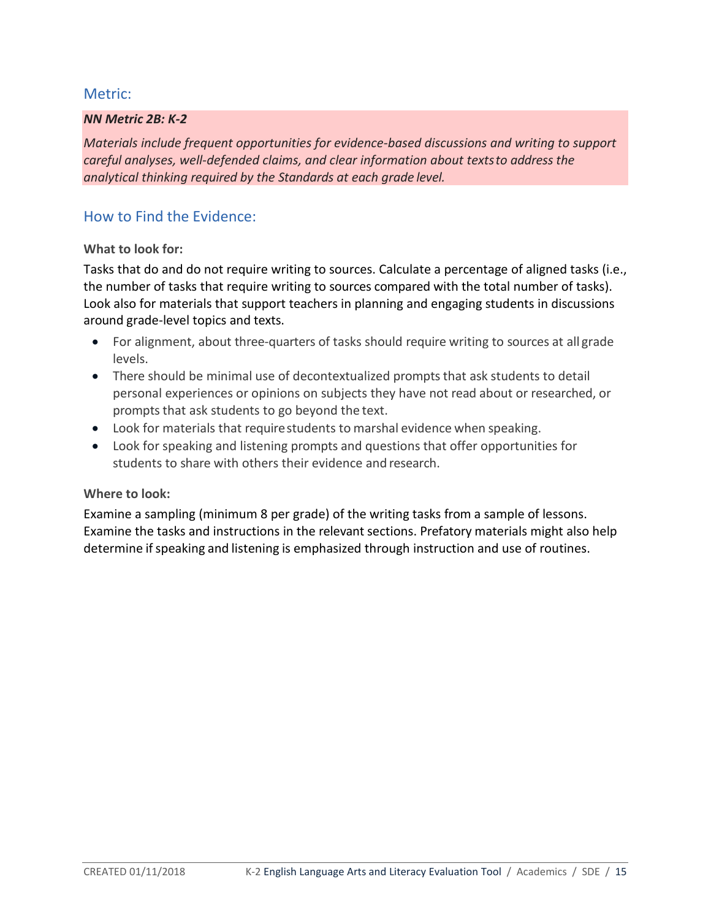## Metric:

### *NN Metric 2B: K-2*

*Materials include frequent opportunities for evidence-based discussions and writing to support careful analyses, well-defended claims, and clear information about textsto address the analytical thinking required by the Standards at each grade level.*

## How to Find the Evidence:

#### **What to look for:**

Tasks that do and do not require writing to sources. Calculate a percentage of aligned tasks (i.e., the number of tasks that require writing to sources compared with the total number of tasks). Look also for materials that support teachers in planning and engaging students in discussions around grade-level topics and texts.

- For alignment, about three-quarters of tasks should require writing to sources at all grade levels.
- There should be minimal use of decontextualized prompts that ask students to detail personal experiences or opinions on subjects they have not read about or researched, or prompts that ask students to go beyond the text.
- Look for materials that requirestudents to marshal evidence when speaking.
- Look for speaking and listening prompts and questions that offer opportunities for students to share with others their evidence and research.

#### **Where to look:**

Examine a sampling (minimum 8 per grade) of the writing tasks from a sample of lessons. Examine the tasks and instructions in the relevant sections. Prefatory materials might also help determine if speaking and listening is emphasized through instruction and use of routines.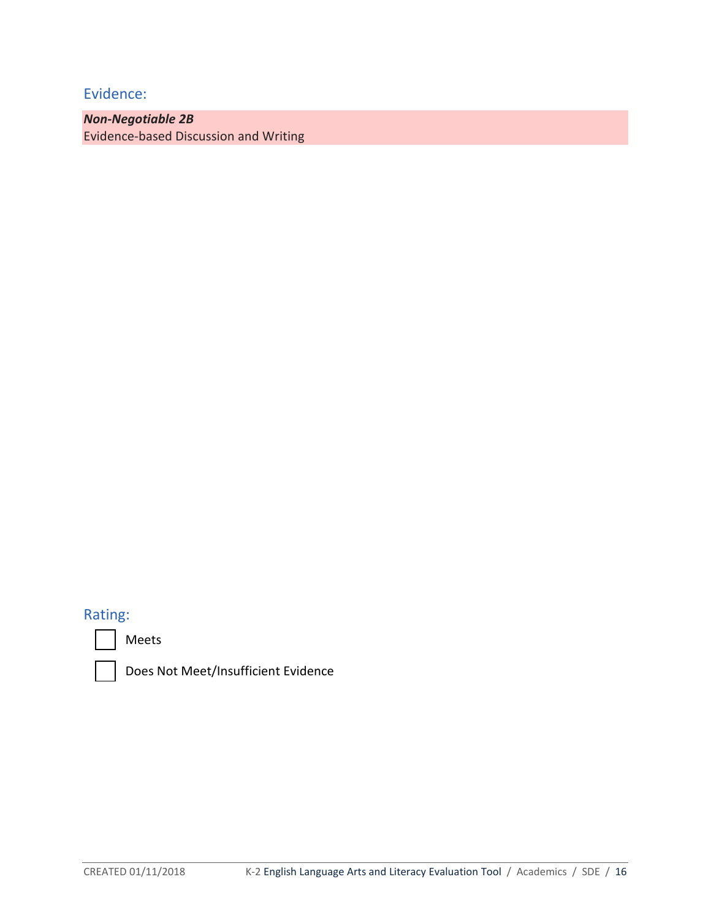*Non-Negotiable 2B* Evidence-based Discussion and Writing

# Rating:



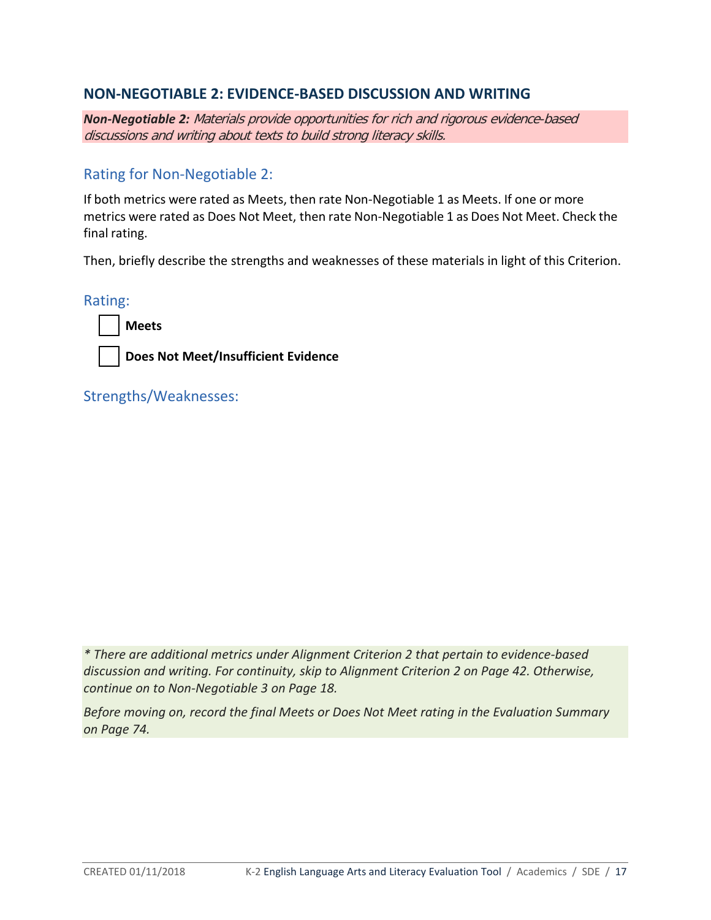# **NON-NEGOTIABLE 2: EVIDENCE-BASED DISCUSSION AND WRITING**

*Non-Negotiable 2:* Materials provide opportunities for rich and rigorous evidence-based discussions and writing about texts to build strong literacy skills.

# Rating for Non-Negotiable 2:

If both metrics were rated as Meets, then rate Non-Negotiable 1 as Meets. If one or more metrics were rated as Does Not Meet, then rate Non-Negotiable 1 as Does Not Meet. Check the final rating.

Then, briefly describe the strengths and weaknesses of these materials in light of this Criterion.

Rating:



**Does Not Meet/Insufficient Evidence** 

Strengths/Weaknesses:

*\* There are additional metrics under Alignment Criterion 2 that pertain to evidence-based discussion and writing. For continuity, skip to Alignment Criterion 2 on Page 42. Otherwise, continue on to Non-Negotiable 3 on Page 18.* 

*Before moving on, record the final Meets or Does Not Meet rating in the Evaluation Summary on Page 74.*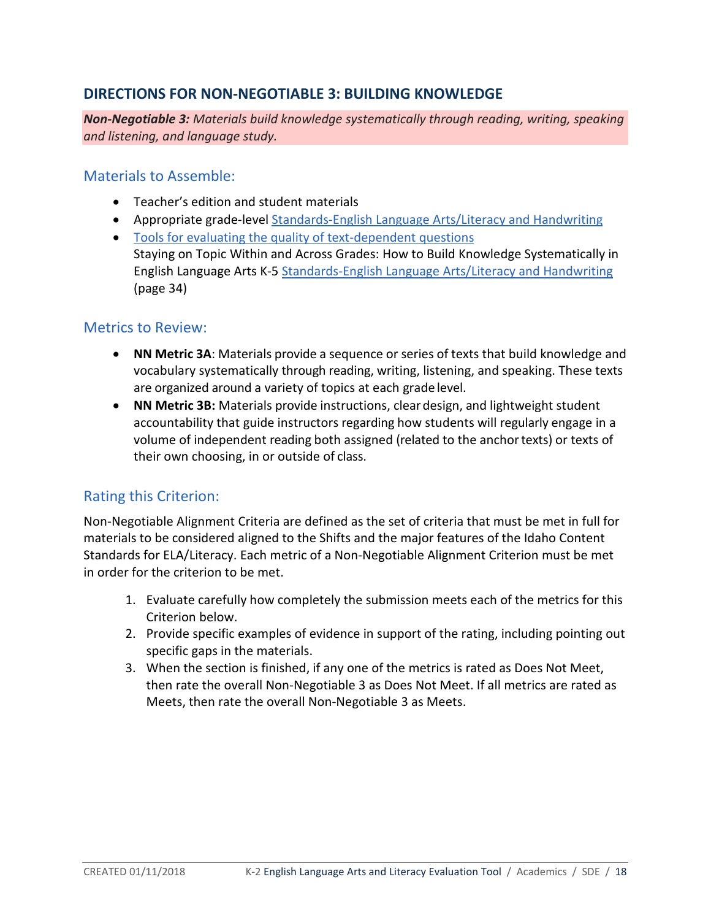# **DIRECTIONS FOR NON-NEGOTIABLE 3: BUILDING KNOWLEDGE**

*Non-Negotiable 3: Materials build knowledge systematically through reading, writing, speaking and listening, and language study.*

## Materials to Assemble:

- Teacher's edition and student materials
- Appropriate grade-level [Standards-English Language Arts/Literacy and Handwriting](http://www.sde.idaho.gov/academic/shared/ela-literacy/booklets/ELA-Literacy-Standards.pdf)
- [Tools for evaluating the quality of text-dependent questions](http://achievethecore.org/page/710/text-dependent-question-resources) Staying on Topic Within and Across Grades: How to Build Knowledge Systematically in English Language Arts K-5 [Standards-English Language Arts/Literacy and Handwriting](http://www.sde.idaho.gov/academic/shared/ela-literacy/booklets/ELA-Literacy-Standards.pdf) (page 34)

# Metrics to Review:

- **NN Metric 3A**: Materials provide a sequence or series of texts that build knowledge and vocabulary systematically through reading, writing, listening, and speaking. These texts are organized around a variety of topics at each grade level.
- **NN Metric 3B:** Materials provide instructions, cleardesign, and lightweight student accountability that guide instructors regarding how students will regularly engage in a volume of independent reading both assigned (related to the anchortexts) or texts of their own choosing, in or outside of class.

# Rating this Criterion:

Non-Negotiable Alignment Criteria are defined as the set of criteria that must be met in full for materials to be considered aligned to the Shifts and the major features of the Idaho Content Standards for ELA/Literacy. Each metric of a Non-Negotiable Alignment Criterion must be met in order for the criterion to be met.

- 1. Evaluate carefully how completely the submission meets each of the metrics for this Criterion below.
- 2. Provide specific examples of evidence in support of the rating, including pointing out specific gaps in the materials.
- 3. When the section is finished, if any one of the metrics is rated as Does Not Meet, then rate the overall Non-Negotiable 3 as Does Not Meet. If all metrics are rated as Meets, then rate the overall Non-Negotiable 3 as Meets.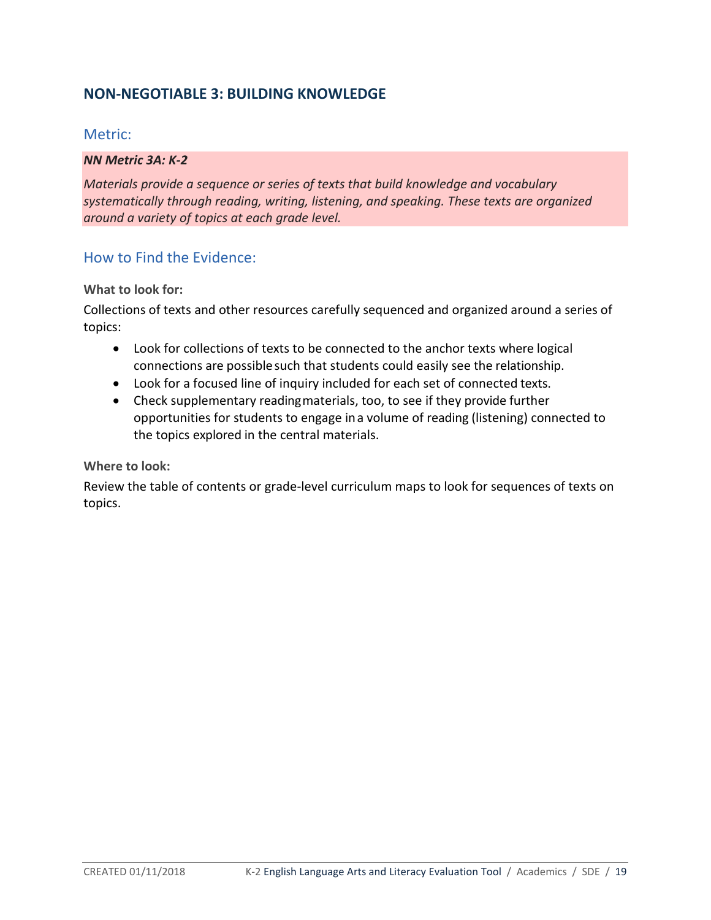# **NON-NEGOTIABLE 3: BUILDING KNOWLEDGE**

## Metric:

#### *NN Metric 3A: K-2*

*Materials provide a sequence or series of texts that build knowledge and vocabulary systematically through reading, writing, listening, and speaking. These texts are organized around a variety of topics at each grade level.*

# How to Find the Evidence:

### **What to look for:**

Collections of texts and other resources carefully sequenced and organized around a series of topics:

- Look for collections of texts to be connected to the anchor texts where logical connections are possible such that students could easily see the relationship.
- Look for a focused line of inquiry included for each set of connected texts.
- Check supplementary readingmaterials, too, to see if they provide further opportunities for students to engage ina volume of reading (listening) connected to the topics explored in the central materials.

#### **Where to look:**

Review the table of contents or grade-level curriculum maps to look for sequences of texts on topics.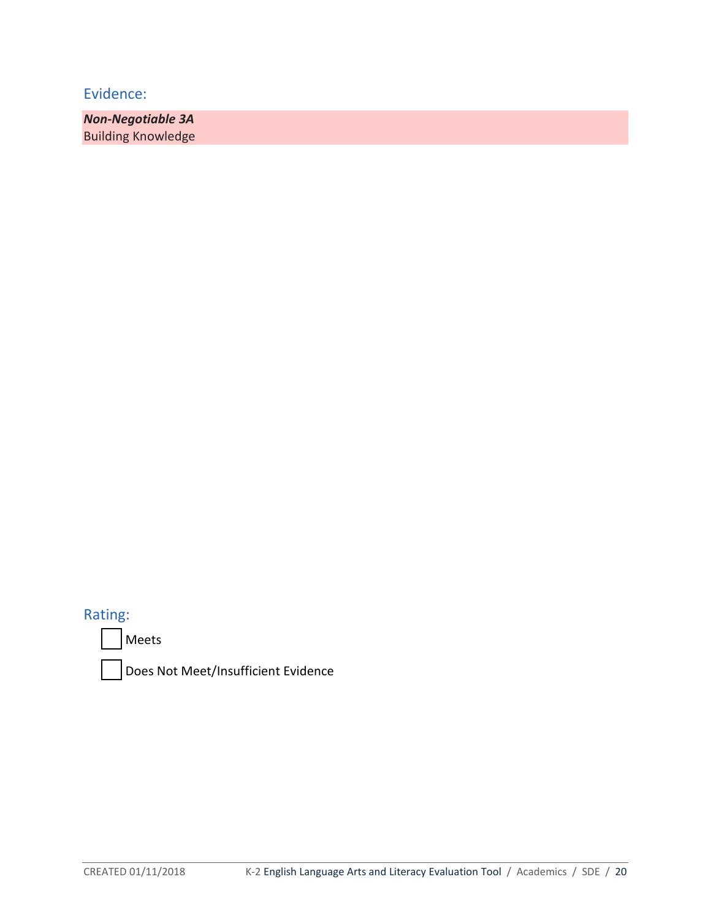*Non-Negotiable 3A*  Building Knowledge

Rating:

Meets

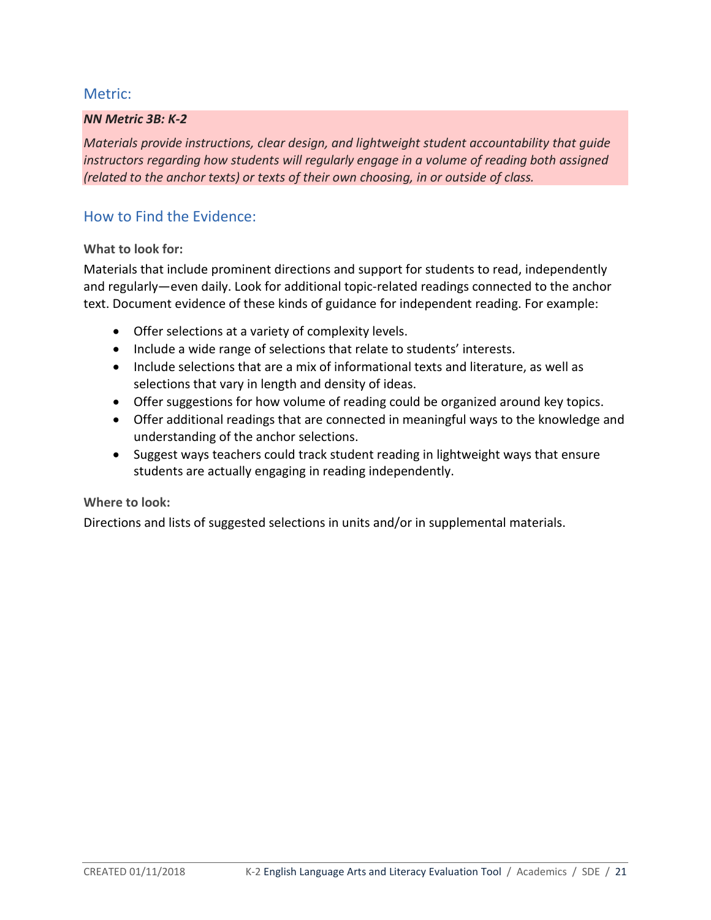## Metric:

#### *NN Metric 3B: K-2*

*Materials provide instructions, clear design, and lightweight student accountability that guide instructors regarding how students will regularly engage in a volume of reading both assigned (related to the anchor texts) or texts of their own choosing, in or outside of class.*

## How to Find the Evidence:

#### **What to look for:**

Materials that include prominent directions and support for students to read, independently and regularly—even daily. Look for additional topic-related readings connected to the anchor text. Document evidence of these kinds of guidance for independent reading. For example:

- Offer selections at a variety of complexity levels.
- Include a wide range of selections that relate to students' interests.
- Include selections that are a mix of informational texts and literature, as well as selections that vary in length and density of ideas.
- Offer suggestions for how volume of reading could be organized around key topics.
- Offer additional readings that are connected in meaningful ways to the knowledge and understanding of the anchor selections.
- Suggest ways teachers could track student reading in lightweight ways that ensure students are actually engaging in reading independently.

#### **Where to look:**

Directions and lists of suggested selections in units and/or in supplemental materials.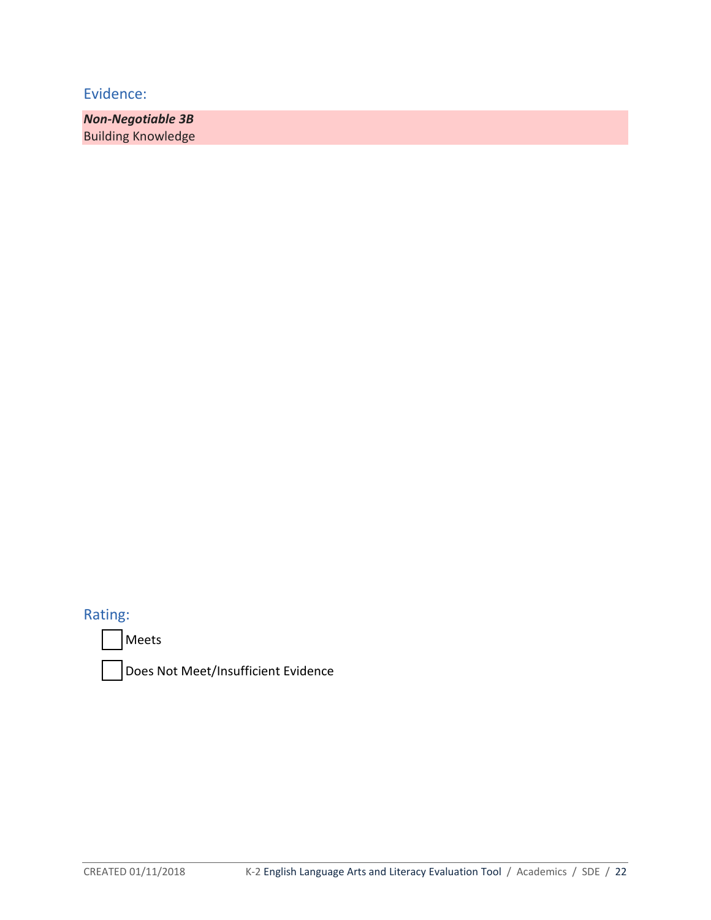*Non-Negotiable 3B* Building Knowledge

Rating:

Meets

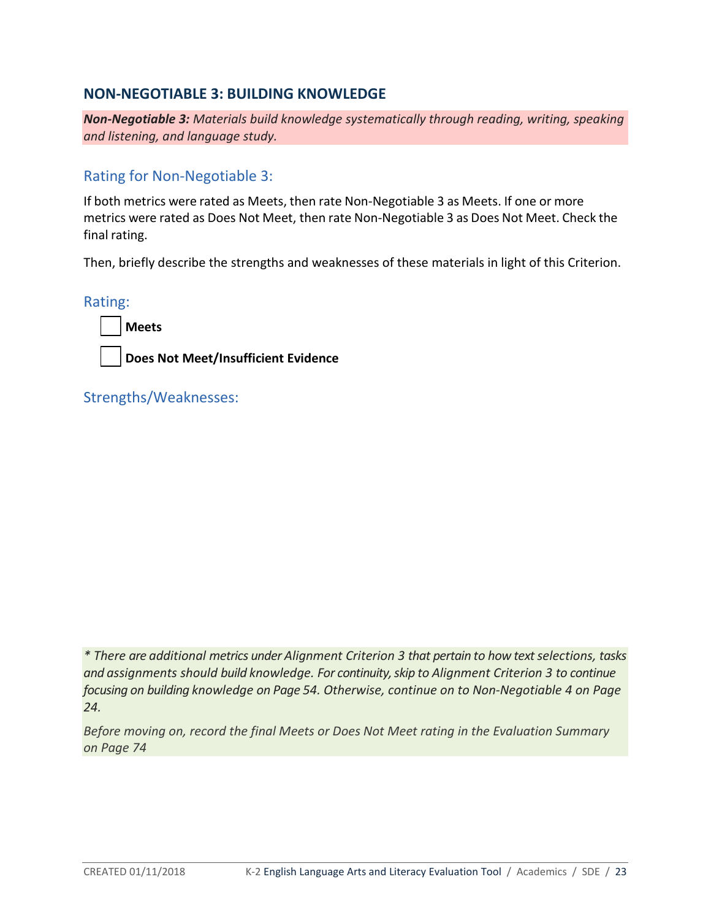# **NON-NEGOTIABLE 3: BUILDING KNOWLEDGE**

*Non-Negotiable 3: Materials build knowledge systematically through reading, writing, speaking and listening, and language study.*

Rating for Non-Negotiable 3:

If both metrics were rated as Meets, then rate Non-Negotiable 3 as Meets. If one or more metrics were rated as Does Not Meet, then rate Non-Negotiable 3 as Does Not Meet. Check the final rating.

Then, briefly describe the strengths and weaknesses of these materials in light of this Criterion.

Rating:



**Does Not Meet/Insufficient Evidence** 

Strengths/Weaknesses:

*\* There are additional metrics under Alignment Criterion 3 that pertain to how text selections, tasks and assignments should build knowledge. For continuity, skip to Alignment Criterion 3 to continue focusing on building knowledge on Page 54. Otherwise, continue on to Non-Negotiable 4 on Page 24.* 

*Before moving on, record the final Meets or Does Not Meet rating in the Evaluation Summary on Page 74*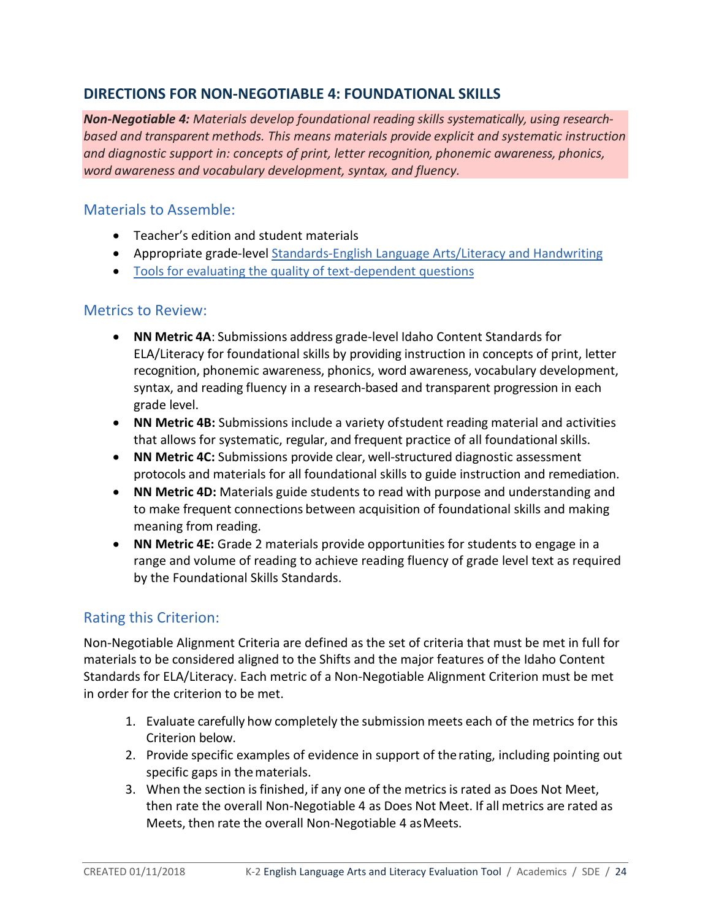# **DIRECTIONS FOR NON-NEGOTIABLE 4: FOUNDATIONAL SKILLS**

*Non-Negotiable 4: Materials develop foundational reading skills systematically, using researchbased and transparent methods. This means materials provide explicit and systematic instruction and diagnostic support in: concepts of print, letter recognition, phonemic awareness, phonics, word awareness and vocabulary development, syntax, and fluency.*

# Materials to Assemble:

- Teacher's edition and student materials
- Appropriate grade-level [Standards-English Language Arts/Literacy and Handwriting](http://www.sde.idaho.gov/academic/shared/ela-literacy/booklets/ELA-Literacy-Standards.pdf)
- [Tools for evaluating the quality of text-dependent questions](http://achievethecore.org/page/710/text-dependent-question-resources)

# Metrics to Review:

- **NN Metric 4A**: Submissions address grade-level Idaho Content Standards for ELA/Literacy for foundational skills by providing instruction in concepts of print, letter recognition, phonemic awareness, phonics, word awareness, vocabulary development, syntax, and reading fluency in a research-based and transparent progression in each grade level.
- **NN Metric 4B:** Submissions include a variety ofstudent reading material and activities that allows for systematic, regular, and frequent practice of all foundationalskills.
- **NN Metric 4C:** Submissions provide clear, well-structured diagnostic assessment protocols and materials for all foundational skills to guide instruction and remediation.
- **NN Metric 4D:** Materials guide students to read with purpose and understanding and to make frequent connections between acquisition of foundational skills and making meaning from reading.
- **NN Metric 4E:** Grade 2 materials provide opportunities for students to engage in a range and volume of reading to achieve reading fluency of grade level text as required by the Foundational Skills Standards.

# Rating this Criterion:

Non-Negotiable Alignment Criteria are defined as the set of criteria that must be met in full for materials to be considered aligned to the Shifts and the major features of the Idaho Content Standards for ELA/Literacy. Each metric of a Non-Negotiable Alignment Criterion must be met in order for the criterion to be met.

- 1. Evaluate carefully how completely the submission meets each of the metrics for this Criterion below.
- 2. Provide specific examples of evidence in support of therating, including pointing out specific gaps in thematerials.
- 3. When the section isfinished, if any one of the metrics is rated as Does Not Meet, then rate the overall Non-Negotiable 4 as Does Not Meet. If all metrics are rated as Meets, then rate the overall Non-Negotiable 4 asMeets.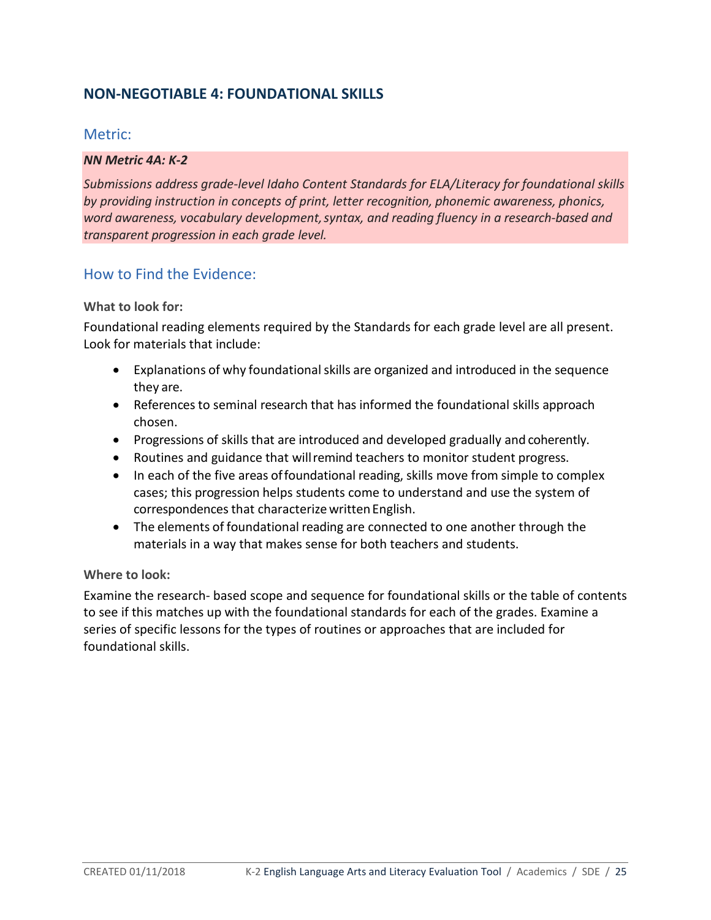# **NON-NEGOTIABLE 4: FOUNDATIONAL SKILLS**

## Metric:

#### *NN Metric 4A: K-2*

*Submissions address grade-level Idaho Content Standards for ELA/Literacy for foundational skills by providing instruction in concepts of print, letter recognition, phonemic awareness, phonics, word awareness, vocabulary development,syntax, and reading fluency in a research-based and transparent progression in each grade level.*

## How to Find the Evidence:

#### **What to look for:**

Foundational reading elements required by the Standards for each grade level are all present. Look for materials that include:

- Explanations of why foundational skills are organized and introduced in the sequence they are.
- References to seminal research that has informed the foundational skills approach chosen.
- Progressions of skills that are introduced and developed gradually and coherently.
- Routines and guidance that willremind teachers to monitor student progress.
- In each of the five areas of foundational reading, skills move from simple to complex cases; this progression helps students come to understand and use the system of correspondences that characterize written English.
- The elements of foundational reading are connected to one another through the materials in a way that makes sense for both teachers and students.

#### **Where to look:**

Examine the research- based scope and sequence for foundational skills or the table of contents to see if this matches up with the foundational standards for each of the grades. Examine a series of specific lessons for the types of routines or approaches that are included for foundational skills.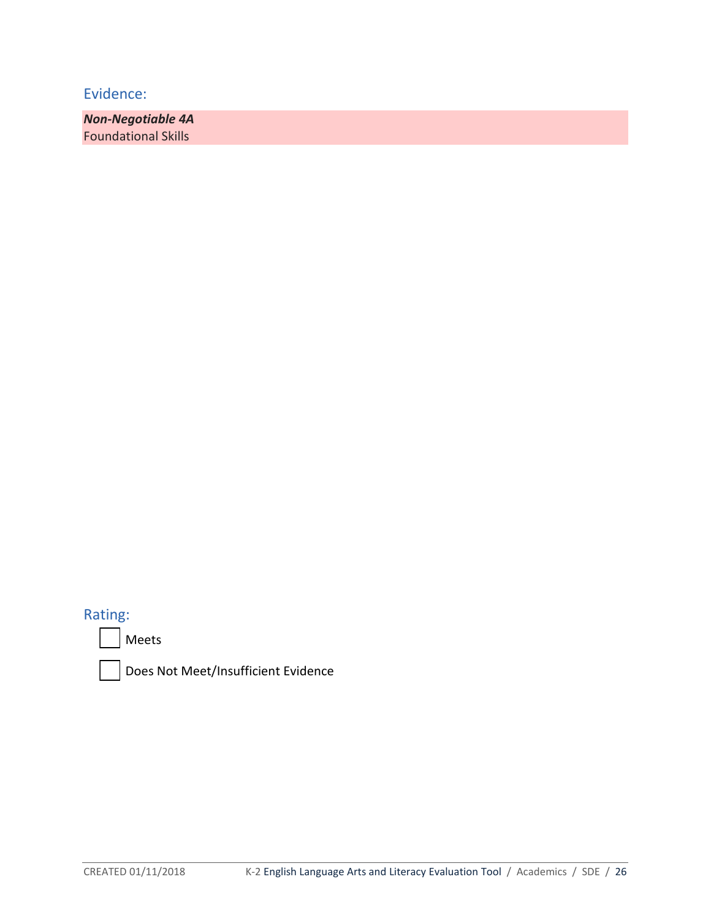*Non-Negotiable 4A* Foundational Skills

# Rating:



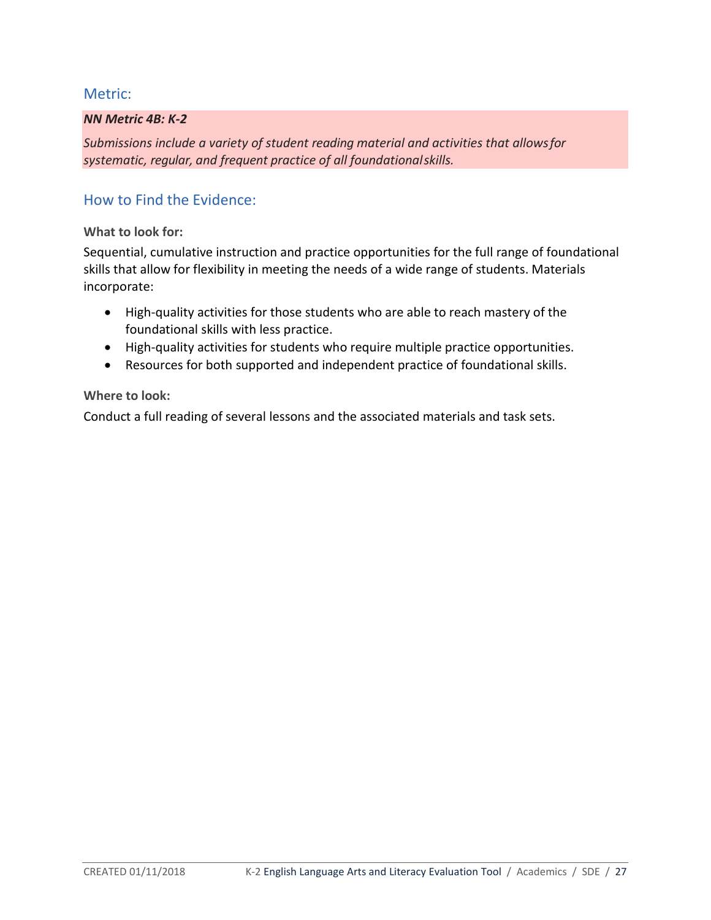## Metric:

### *NN Metric 4B: K-2*

*Submissions include a variety of student reading material and activities that allowsfor systematic, regular, and frequent practice of all foundationalskills.*

# How to Find the Evidence:

**What to look for:**

Sequential, cumulative instruction and practice opportunities for the full range of foundational skills that allow for flexibility in meeting the needs of a wide range of students. Materials incorporate:

- High-quality activities for those students who are able to reach mastery of the foundational skills with less practice.
- High-quality activities for students who require multiple practice opportunities.
- Resources for both supported and independent practice of foundational skills.

### **Where to look:**

Conduct a full reading of several lessons and the associated materials and task sets.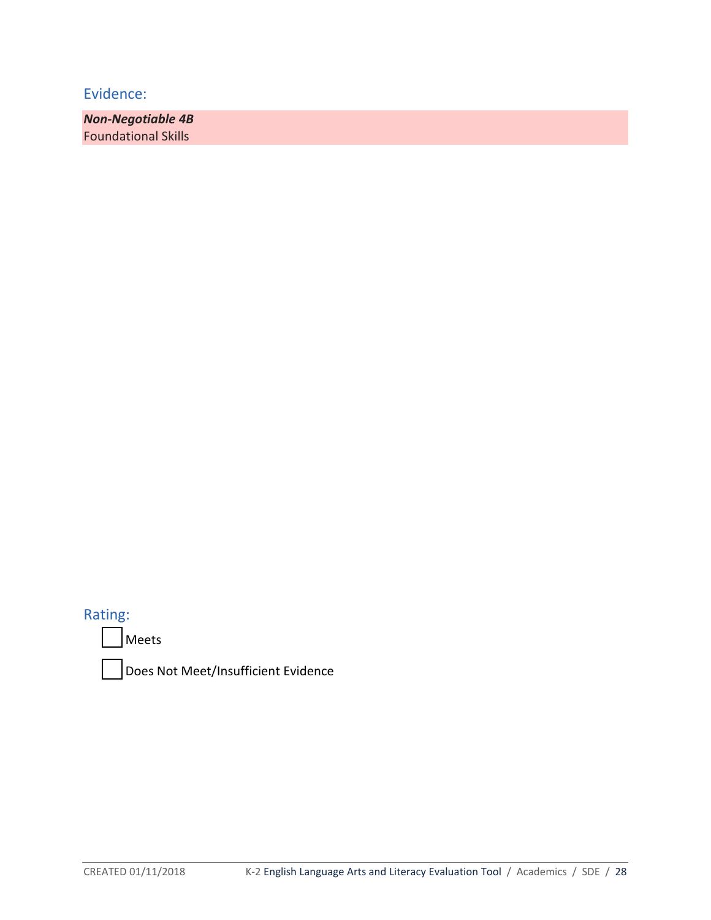*Non-Negotiable 4B*  Foundational Skills

Rating:

Meets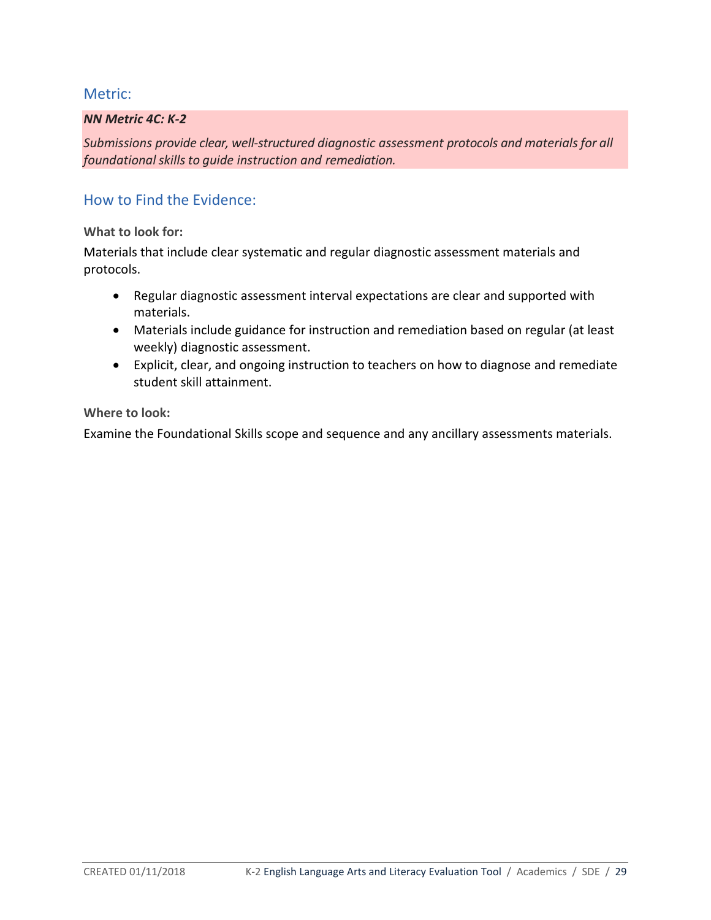## Metric:

#### *NN Metric 4C: K-2*

*Submissions provide clear, well-structured diagnostic assessment protocols and materialsfor all foundationalskillsto guide instruction and remediation.*

## How to Find the Evidence:

**What to look for:**

Materials that include clear systematic and regular diagnostic assessment materials and protocols.

- Regular diagnostic assessment interval expectations are clear and supported with materials.
- Materials include guidance for instruction and remediation based on regular (at least weekly) diagnostic assessment.
- Explicit, clear, and ongoing instruction to teachers on how to diagnose and remediate student skill attainment.

**Where to look:** 

Examine the Foundational Skills scope and sequence and any ancillary assessments materials.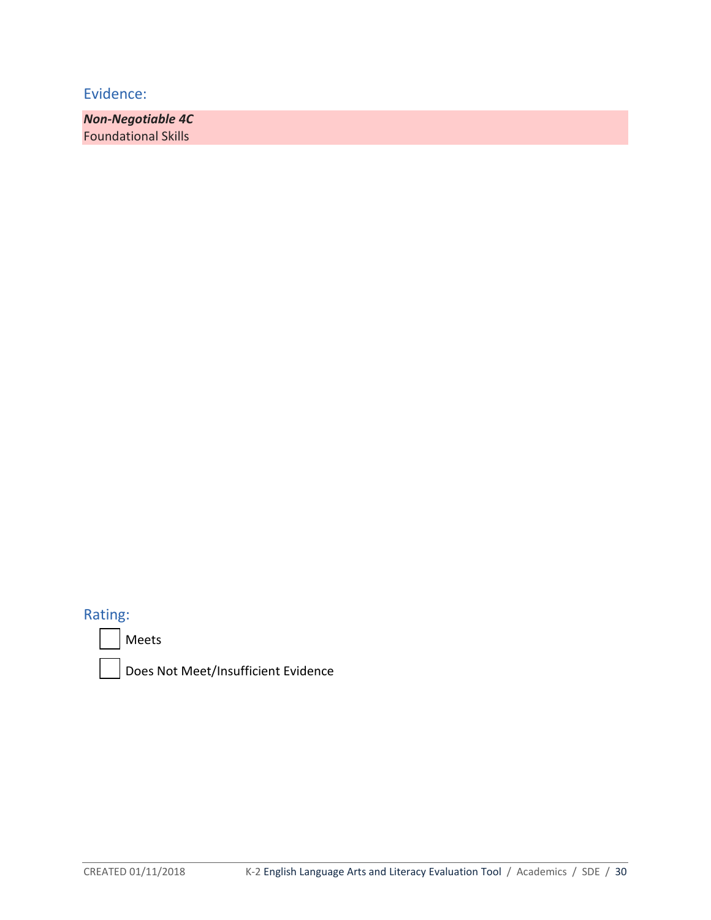*Non-Negotiable 4C*  Foundational Skills

Rating:



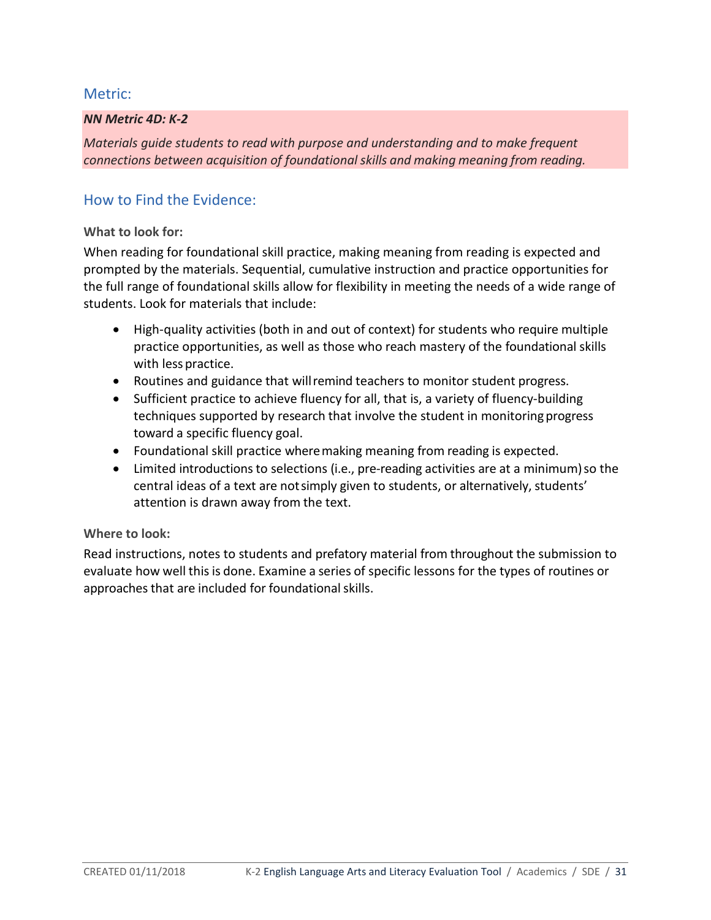## Metric:

### *NN Metric 4D: K-2*

*Materials guide students to read with purpose and understanding and to make frequent connections between acquisition of foundational skills and making meaning from reading.*

# How to Find the Evidence:

### **What to look for:**

When reading for foundational skill practice, making meaning from reading is expected and prompted by the materials. Sequential, cumulative instruction and practice opportunities for the full range of foundational skills allow for flexibility in meeting the needs of a wide range of students. Look for materials that include:

- High-quality activities (both in and out of context) for students who require multiple practice opportunities, as well as those who reach mastery of the foundational skills with less practice.
- Routines and guidance that willremind teachers to monitor student progress.
- Sufficient practice to achieve fluency for all, that is, a variety of fluency-building techniques supported by research that involve the student in monitoringprogress toward a specific fluency goal.
- Foundational skill practice wheremaking meaning from reading is expected.
- Limited introductions to selections (i.e., pre-reading activities are at a minimum) so the central ideas of a text are notsimply given to students, or alternatively, students' attention is drawn away from the text.

## **Where to look:**

Read instructions, notes to students and prefatory material from throughout the submission to evaluate how well thisis done. Examine a series of specific lessons for the types of routines or approaches that are included for foundational skills.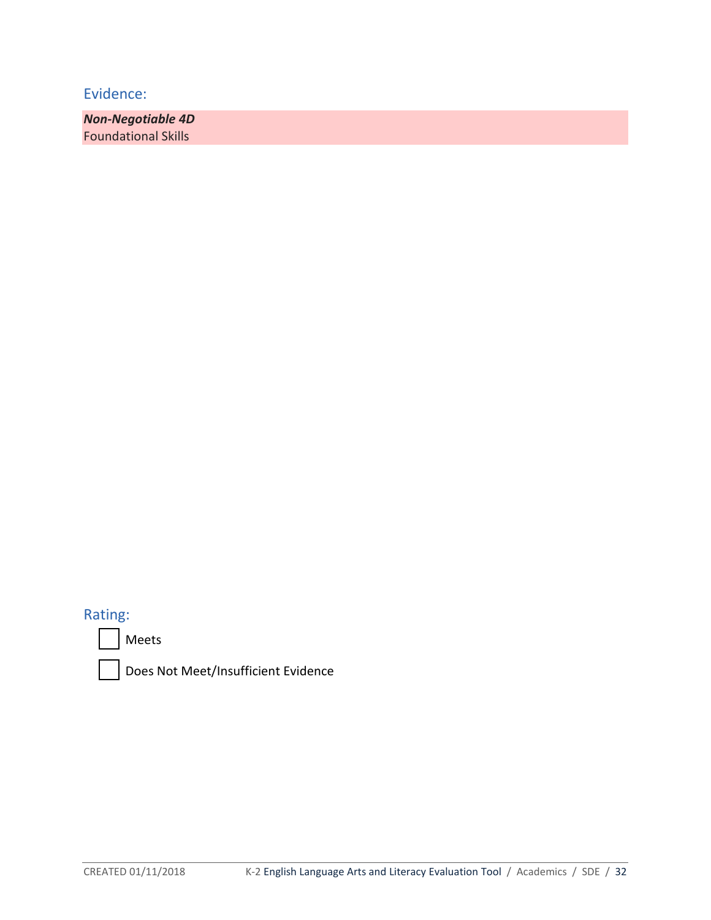*Non-Negotiable 4D* Foundational Skills

# Rating:



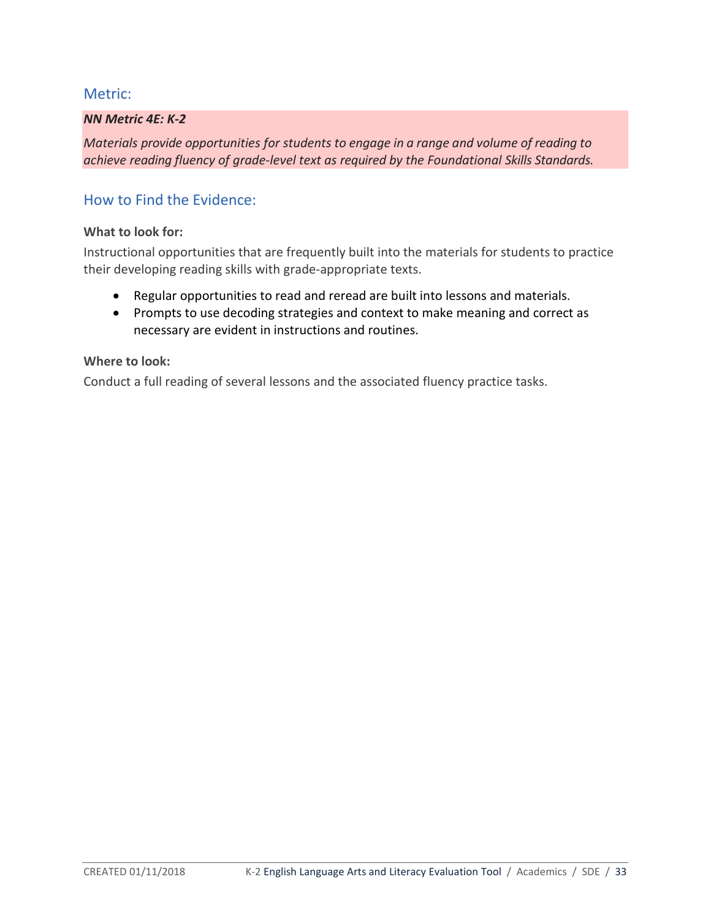## Metric:

#### *NN Metric 4E: K-2*

*Materials provide opportunities for students to engage in a range and volume of reading to achieve reading fluency of grade-level text as required by the Foundational Skills Standards.*

# How to Find the Evidence:

#### **What to look for:**

Instructional opportunities that are frequently built into the materials for students to practice their developing reading skills with grade-appropriate texts.

- Regular opportunities to read and reread are built into lessons and materials.
- Prompts to use decoding strategies and context to make meaning and correct as necessary are evident in instructions and routines.

#### **Where to look:**

Conduct a full reading of several lessons and the associated fluency practice tasks.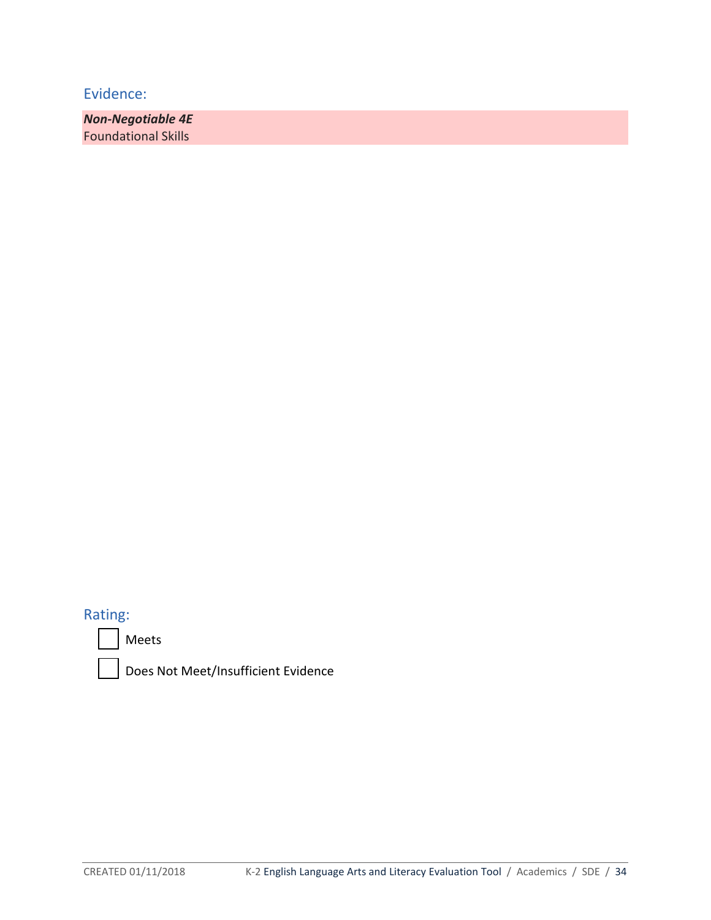*Non-Negotiable 4E* Foundational Skills

# Rating:



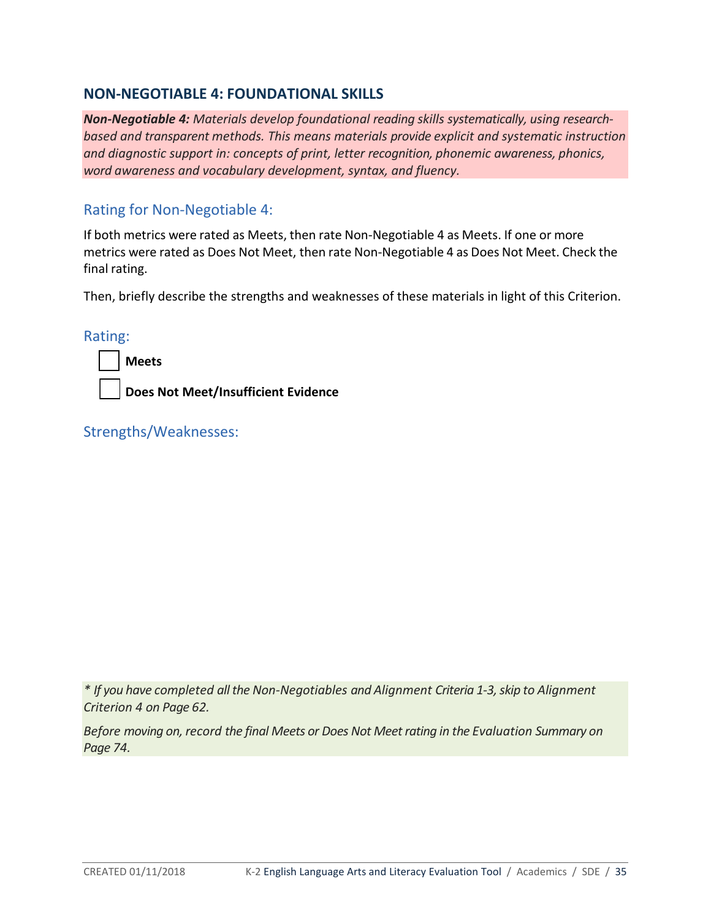## **NON-NEGOTIABLE 4: FOUNDATIONAL SKILLS**

*Non-Negotiable 4: Materials develop foundational reading skills systematically, using researchbased and transparent methods. This means materials provide explicit and systematic instruction and diagnostic support in: concepts of print, letter recognition, phonemic awareness, phonics, word awareness and vocabulary development, syntax, and fluency.*

## Rating for Non-Negotiable 4:

If both metrics were rated as Meets, then rate Non-Negotiable 4 as Meets. If one or more metrics were rated as Does Not Meet, then rate Non-Negotiable 4 as Does Not Meet. Check the final rating.

Then, briefly describe the strengths and weaknesses of these materials in light of this Criterion.

| c | τın |  |
|---|-----|--|
|   |     |  |

**Does Not Meet/Insufficient Evidence**

Strengths/Weaknesses:

*\* If you have completed all the Non-Negotiables and Alignment Criteria 1-3, skip to Alignment Criterion 4 on Page 62.* 

*Before moving on, record the final Meets or Does Not Meet rating in the Evaluation Summary on Page 74.*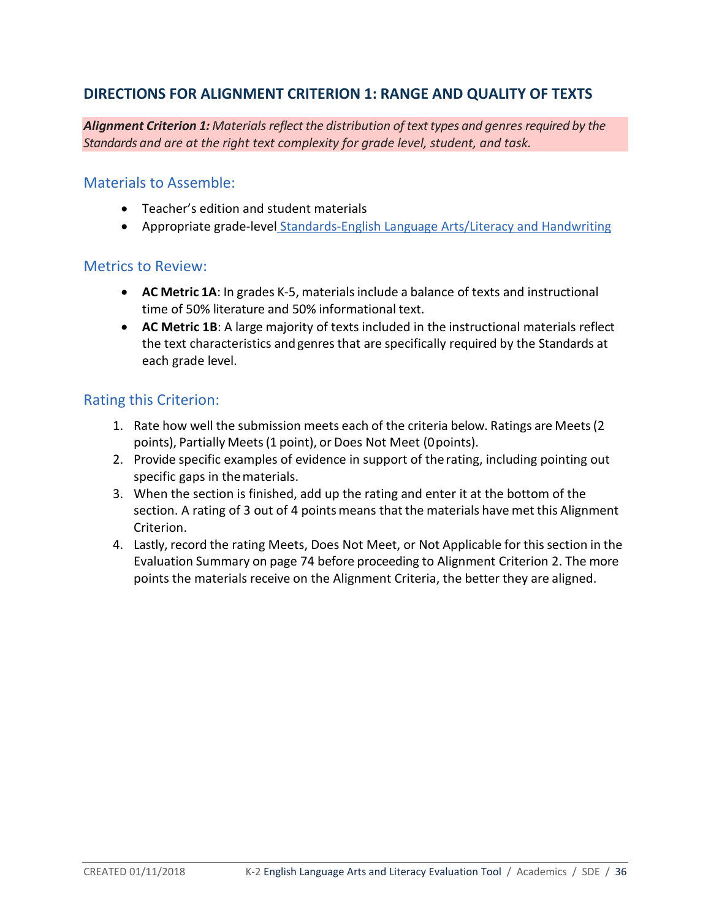# **DIRECTIONS FOR ALIGNMENT CRITERION 1: RANGE AND QUALITY OF TEXTS**

*Alignment Criterion 1: Materialsreflect the distribution of texttypes and genresrequired by the Standards and are at the right text complexity for grade level, student, and task.* 

## Materials to Assemble:

- Teacher's edition and student materials
- Appropriate grade-level [Standards-English Language Arts/Literacy and Handwriting](http://www.sde.idaho.gov/academic/shared/ela-literacy/booklets/ELA-Literacy-Standards.pdf)

## Metrics to Review:

- **AC Metric 1A**: In grades K-5, materialsinclude a balance of texts and instructional time of 50% literature and 50% informational text.
- **AC Metric 1B**: A large majority of texts included in the instructional materials reflect the text characteristics andgenres that are specifically required by the Standards at each grade level.

## Rating this Criterion:

- 1. Rate how well the submission meets each of the criteria below. Ratings are Meets(2 points), Partially Meets(1 point), or Does Not Meet (0points).
- 2. Provide specific examples of evidence in support of therating, including pointing out specific gaps in thematerials.
- 3. When the section is finished, add up the rating and enter it at the bottom of the section. A rating of 3 out of 4 points means that the materials have met this Alignment Criterion.
- 4. Lastly, record the rating Meets, Does Not Meet, or Not Applicable for thissection in the Evaluation Summary on page 74 before proceeding to Alignment Criterion 2. The more points the materials receive on the Alignment Criteria, the better they are aligned.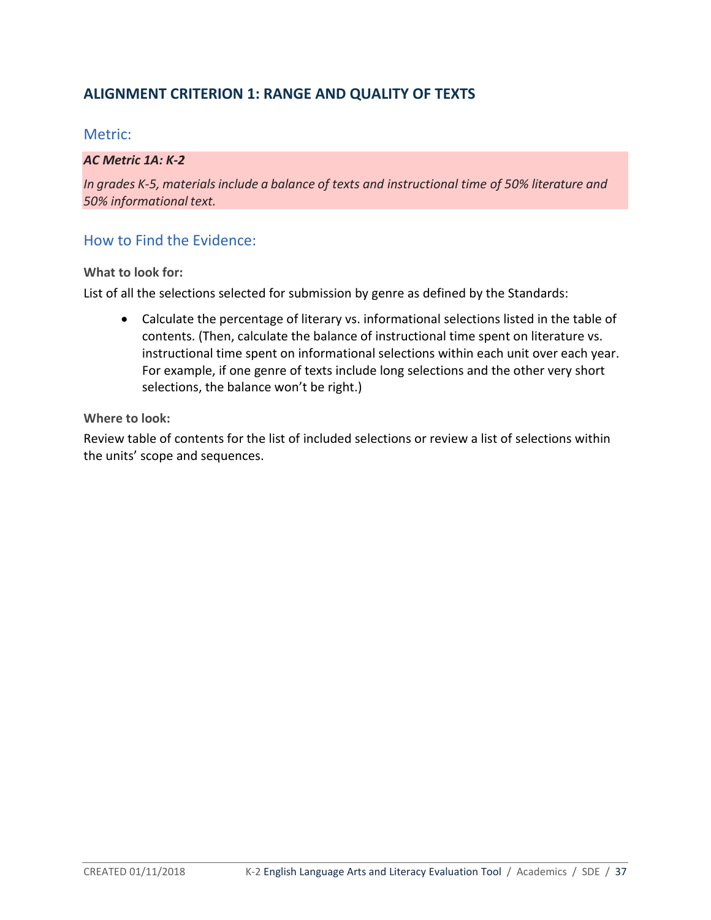# **ALIGNMENT CRITERION 1: RANGE AND QUALITY OF TEXTS**

### Metric:

### *AC Metric 1A: K-2*

*In* grades *K-5*, materials include a balance of texts and instructional time of 50% literature and *50% informational text.*

## How to Find the Evidence:

**What to look for:** 

List of all the selections selected for submission by genre as defined by the Standards:

• Calculate the percentage of literary vs. informational selections listed in the table of contents. (Then, calculate the balance of instructional time spent on literature vs. instructional time spent on informational selections within each unit over each year. For example, if one genre of texts include long selections and the other very short selections, the balance won't be right.)

**Where to look:**

Review table of contents for the list of included selections or review a list of selections within the units' scope and sequences.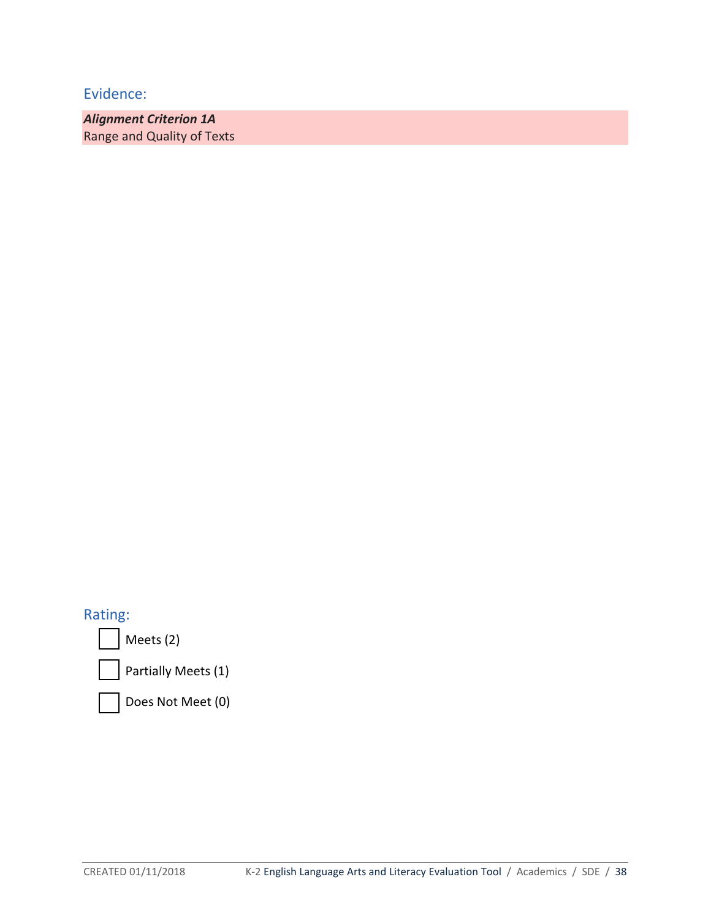*Alignment Criterion 1A* Range and Quality of Texts

Rating:

Meets (2)

Partially Meets (1)

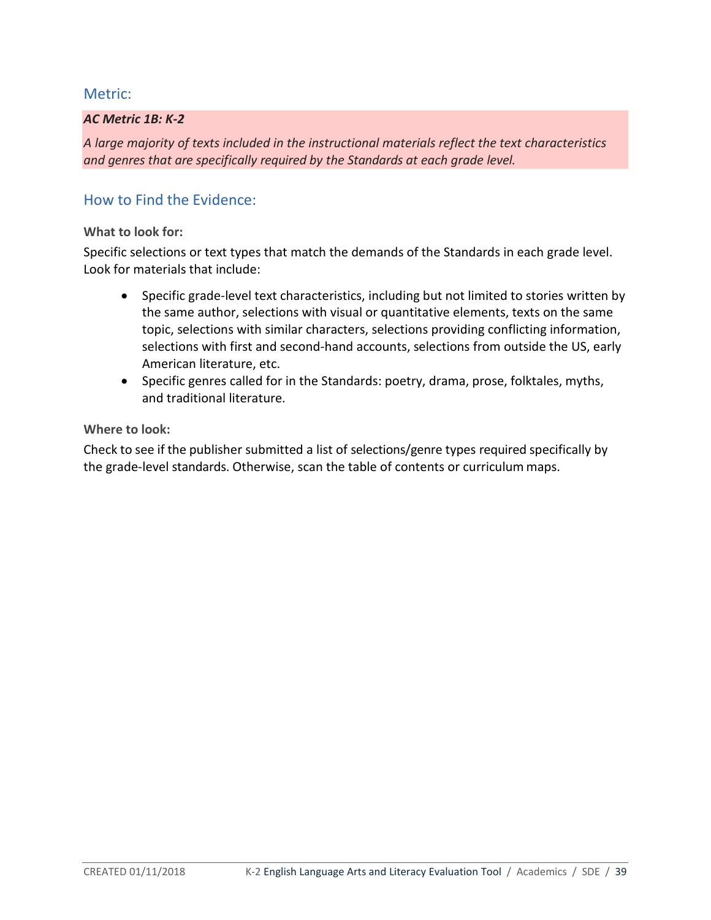### *AC Metric 1B: K-2*

*A large majority of texts included in the instructional materials reflect the text characteristics and genres that are specifically required by the Standards at each grade level.*

## How to Find the Evidence:

### **What to look for:**

Specific selections or text types that match the demands of the Standards in each grade level. Look for materials that include:

- Specific grade-level text characteristics, including but not limited to stories written by the same author, selections with visual or quantitative elements, texts on the same topic, selections with similar characters, selections providing conflicting information, selections with first and second-hand accounts, selections from outside the US, early American literature, etc.
- Specific genres called for in the Standards: poetry, drama, prose, folktales, myths, and traditional literature.

### **Where to look:**

Check to see if the publisher submitted a list of selections/genre types required specifically by the grade-level standards. Otherwise, scan the table of contents or curriculum maps.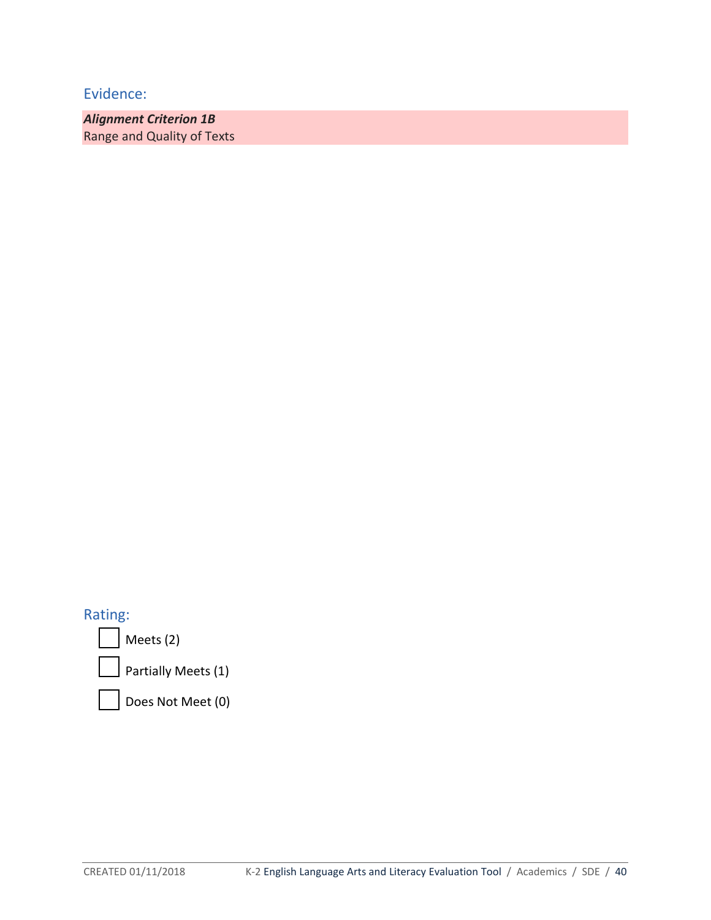*Alignment Criterion 1B* Range and Quality of Texts

Rating:

Meets (2)

Partially Meets (1)

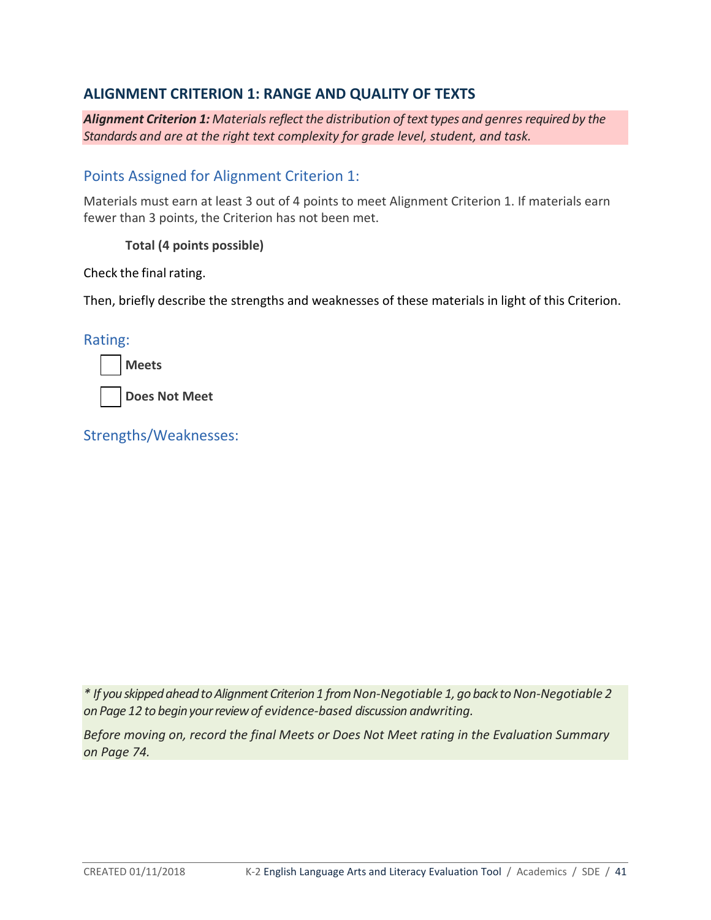## **ALIGNMENT CRITERION 1: RANGE AND QUALITY OF TEXTS**

*Alignment Criterion 1: Materialsreflect the distribution of texttypes and genresrequired by the Standards and are at the right text complexity for grade level, student, and task.*

## Points Assigned for Alignment Criterion 1:

Materials must earn at least 3 out of 4 points to meet Alignment Criterion 1. If materials earn fewer than 3 points, the Criterion has not been met.

### **Total (4 points possible)**

Check the final rating.

Then, briefly describe the strengths and weaknesses of these materials in light of this Criterion.

### Rating:

**Meets**

**Does Not Meet**

Strengths/Weaknesses:

*\* If youskippedaheadtoAlignmentCriterion 1 fromNon-Negotiable 1, go back toNon-Negotiable 2 on Page 12 to beginyourreview of evidence-based discussion andwriting.*

*Before moving on, record the final Meets or Does Not Meet rating in the Evaluation Summary on Page 74.*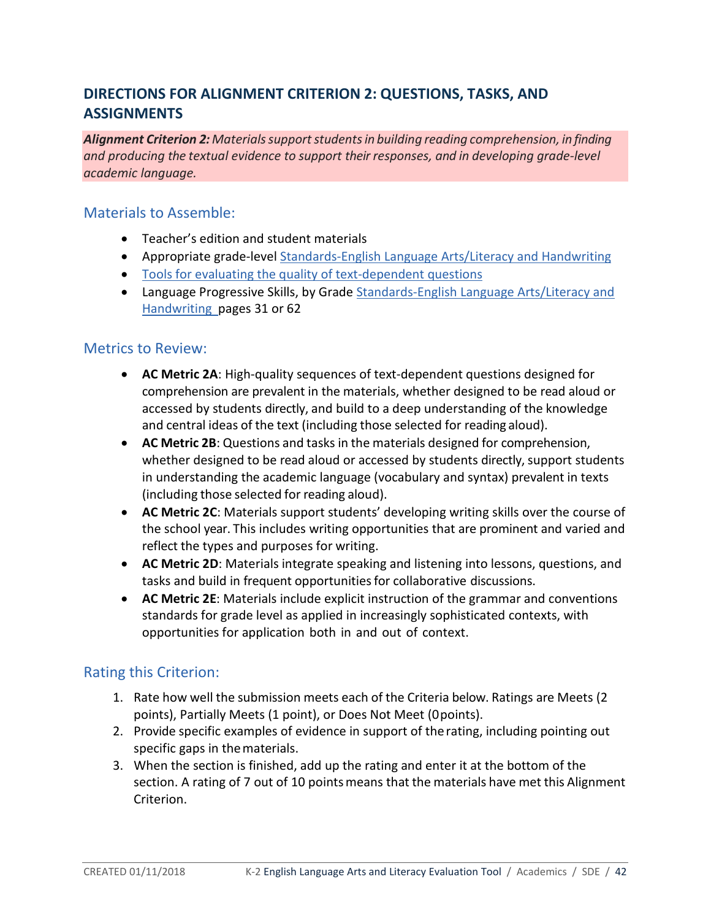# **DIRECTIONS FOR ALIGNMENT CRITERION 2: QUESTIONS, TASKS, AND ASSIGNMENTS**

*Alignment Criterion 2: Materialssupportstudentsin building reading comprehension, in finding and producing the textual evidence to support their responses, and in developing grade-level academic language.* 

### Materials to Assemble:

- Teacher's edition and student materials
- Appropriate grade-level [Standards-English Language Arts/Literacy and Handwriting](http://www.sde.idaho.gov/academic/shared/ela-literacy/booklets/ELA-Literacy-Standards.pdf)
- [Tools for evaluating the quality of text-dependent questions](http://achievethecore.org/page/710/text-dependent-question-resources)
- Language Progressive Skills, by Grade Standards-English Language Arts/Literacy and [Handwriting](http://www.sde.idaho.gov/academic/shared/ela-literacy/booklets/ELA-Literacy-Standards.pdf) pages 31 or 62

### Metrics to Review:

- **AC Metric 2A**: High-quality sequences of text-dependent questions designed for comprehension are prevalent in the materials, whether designed to be read aloud or accessed by students directly, and build to a deep understanding of the knowledge and central ideas of the text (including those selected for reading aloud).
- **AC Metric 2B**: Questions and tasks in the materials designed for comprehension, whether designed to be read aloud or accessed by students directly, support students in understanding the academic language (vocabulary and syntax) prevalent in texts (including those selected for reading aloud).
- **AC Metric 2C**: Materials support students' developing writing skills over the course of the school year. This includes writing opportunities that are prominent and varied and reflect the types and purposes for writing.
- **AC Metric 2D**: Materials integrate speaking and listening into lessons, questions, and tasks and build in frequent opportunities for collaborative discussions.
- **AC Metric 2E**: Materials include explicit instruction of the grammar and conventions standards for grade level as applied in increasingly sophisticated contexts, with opportunities for application both in and out of context.

### Rating this Criterion:

- 1. Rate how well the submission meets each of the Criteria below. Ratings are Meets (2 points), Partially Meets (1 point), or Does Not Meet (0points).
- 2. Provide specific examples of evidence in support of therating, including pointing out specific gaps in thematerials.
- 3. When the section is finished, add up the rating and enter it at the bottom of the section. A rating of 7 out of 10 points means that the materials have met this Alignment Criterion.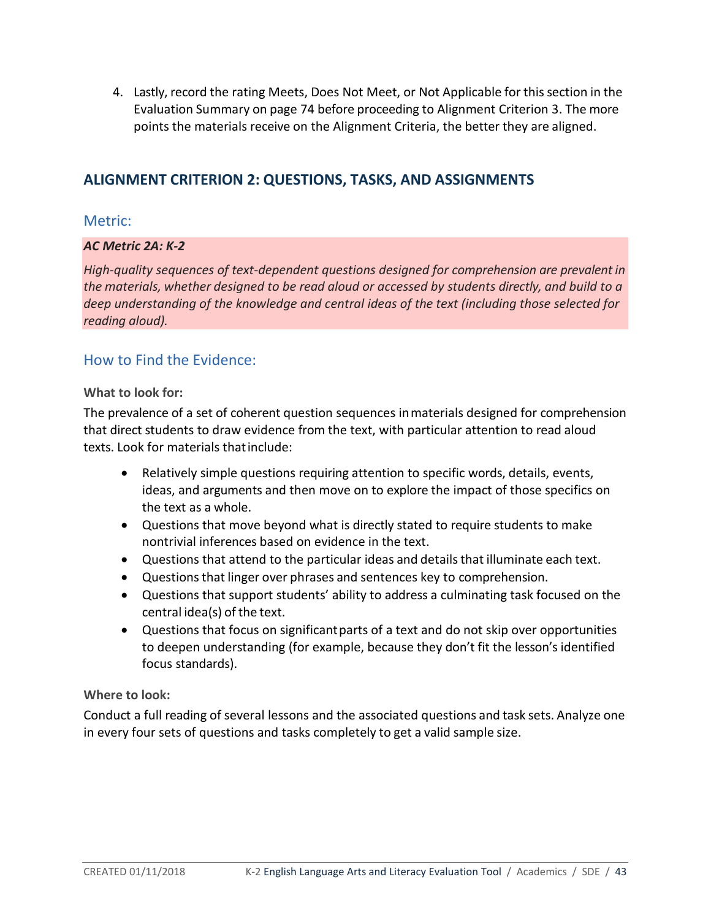4. Lastly, record the rating Meets, Does Not Meet, or Not Applicable for thissection in the Evaluation Summary on page 74 before proceeding to Alignment Criterion 3. The more points the materials receive on the Alignment Criteria, the better they are aligned.

## **ALIGNMENT CRITERION 2: QUESTIONS, TASKS, AND ASSIGNMENTS**

### Metric:

### *AC Metric 2A: K-2*

*High-quality sequences of text-dependent questions designed for comprehension are prevalent in the materials, whether designed to be read aloud or accessed by students directly, and build to a deep understanding of the knowledge and central ideas of the text (including those selected for reading aloud).*

### How to Find the Evidence:

### **What to look for:**

The prevalence of a set of coherent question sequences inmaterials designed for comprehension that direct students to draw evidence from the text, with particular attention to read aloud texts. Look for materials thatinclude:

- Relatively simple questions requiring attention to specific words, details, events, ideas, and arguments and then move on to explore the impact of those specifics on the text as a whole.
- Questions that move beyond what is directly stated to require students to make nontrivial inferences based on evidence in the text.
- Questions that attend to the particular ideas and details that illuminate each text.
- Questions that linger over phrases and sentences key to comprehension.
- Questions that support students' ability to address a culminating task focused on the central idea(s) of the text.
- Questions that focus on significantparts of a text and do not skip over opportunities to deepen understanding (for example, because they don't fit the lesson's identified focus standards).

### **Where to look:**

Conduct a full reading of several lessons and the associated questions and task sets. Analyze one in every four sets of questions and tasks completely to get a valid sample size.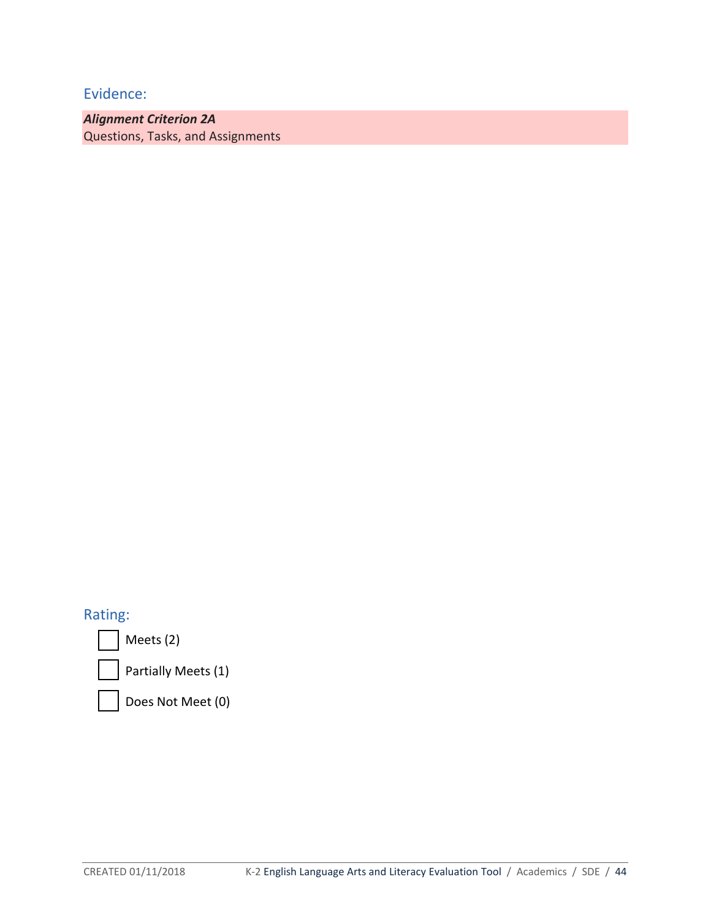*Alignment Criterion 2A*  Questions, Tasks, and Assignments

## Rating:

Meets (2)

Partially Meets (1)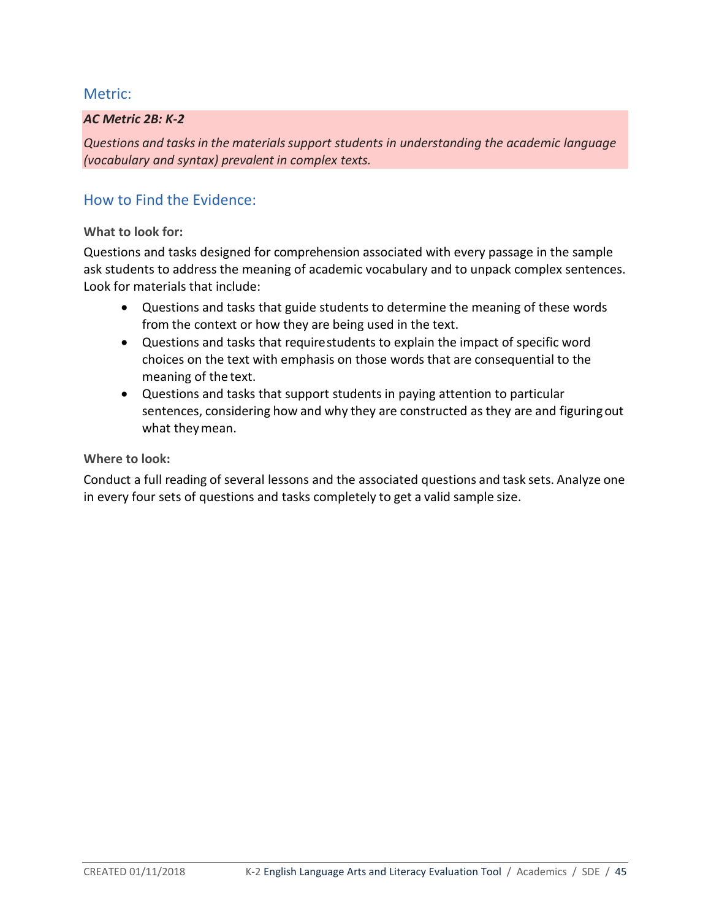### *AC Metric 2B: K-2*

*Questions and tasksin the materialssupport students in understanding the academic language (vocabulary and syntax) prevalent in complex texts.*

## How to Find the Evidence:

### **What to look for:**

Questions and tasks designed for comprehension associated with every passage in the sample ask students to address the meaning of academic vocabulary and to unpack complex sentences. Look for materials that include:

- Questions and tasks that guide students to determine the meaning of these words from the context or how they are being used in the text.
- Questions and tasks that requirestudents to explain the impact of specific word choices on the text with emphasis on those words that are consequential to the meaning of the text.
- Questions and tasks that support students in paying attention to particular sentences, considering how and why they are constructed as they are and figuringout what theymean.

#### **Where to look:**

Conduct a full reading of several lessons and the associated questions and task sets. Analyze one in every four sets of questions and tasks completely to get a valid sample size.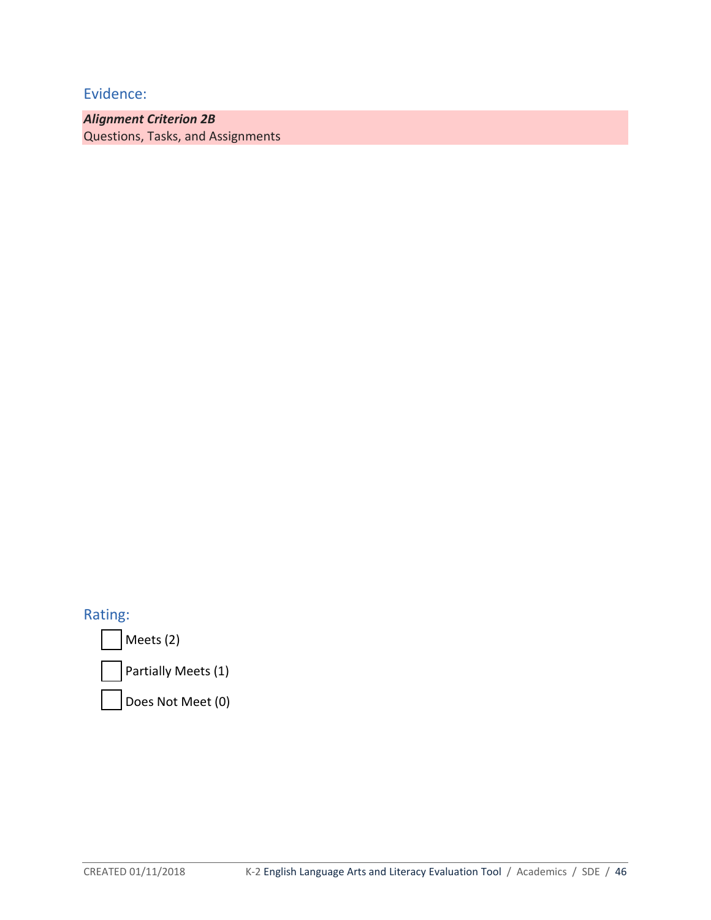*Alignment Criterion 2B*  Questions, Tasks, and Assignments

Rating:

Meets (2)

Partially Meets (1)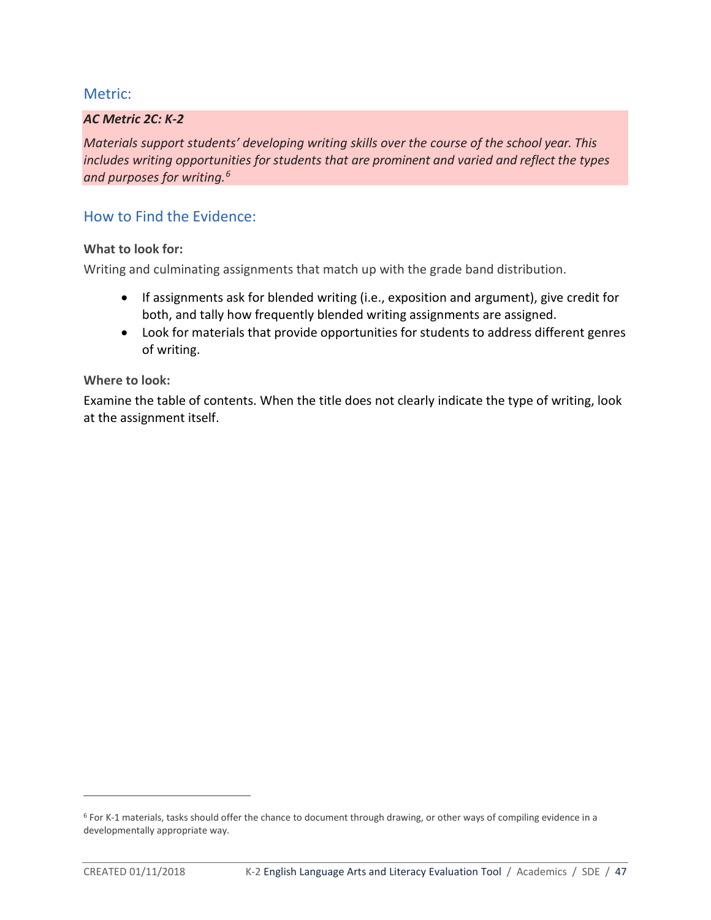### *AC Metric 2C: K-2*

*Materials support students' developing writing skills over the course of the school year. This includes writing opportunities for students that are prominent and varied and reflect the types and purposes for writing.6*

### How to Find the Evidence:

### **What to look for:**

Writing and culminating assignments that match up with the grade band distribution.

- If assignments ask for blended writing (i.e., exposition and argument), give credit for both, and tally how frequently blended writing assignments are assigned.
- Look for materials that provide opportunities for students to address different genres of writing.

#### **Where to look:**

Examine the table of contents. When the title does not clearly indicate the type of writing, look at the assignment itself.

 $\overline{a}$ 

<sup>&</sup>lt;sup>6</sup> For K-1 materials, tasks should offer the chance to document through drawing, or other ways of compiling evidence in a developmentally appropriate way.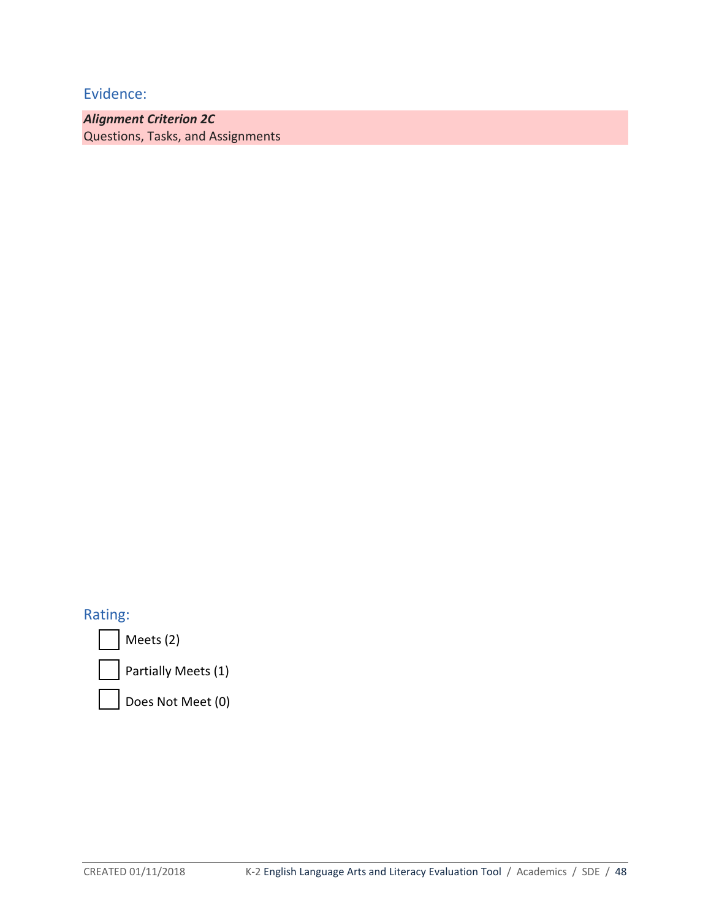*Alignment Criterion 2C* Questions, Tasks, and Assignments

## Rating:

Meets (2)

Partially Meets (1)

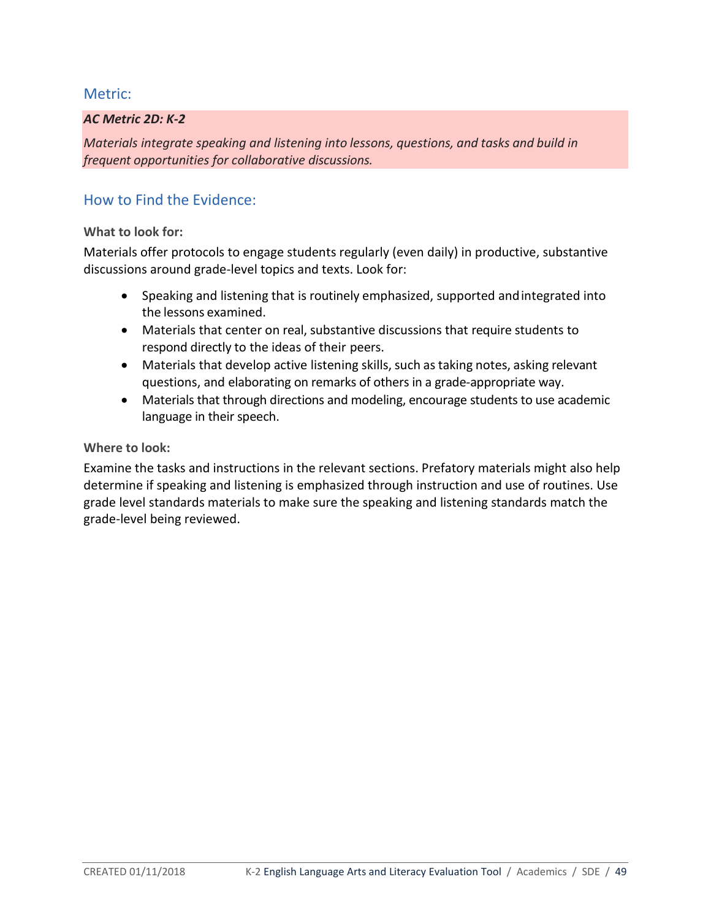### *AC Metric 2D: K-2*

*Materials integrate speaking and listening into lessons, questions, and tasks and build in frequent opportunities for collaborative discussions.*

## How to Find the Evidence:

### **What to look for:**

Materials offer protocols to engage students regularly (even daily) in productive, substantive discussions around grade-level topics and texts. Look for:

- Speaking and listening that is routinely emphasized, supported andintegrated into the lessons examined.
- Materials that center on real, substantive discussions that require students to respond directly to the ideas of their peers.
- Materials that develop active listening skills, such as taking notes, asking relevant questions, and elaborating on remarks of others in a grade-appropriate way.
- Materials that through directions and modeling, encourage students to use academic language in their speech.

### **Where to look:**

Examine the tasks and instructions in the relevant sections. Prefatory materials might also help determine if speaking and listening is emphasized through instruction and use of routines. Use grade level standards materials to make sure the speaking and listening standards match the grade-level being reviewed.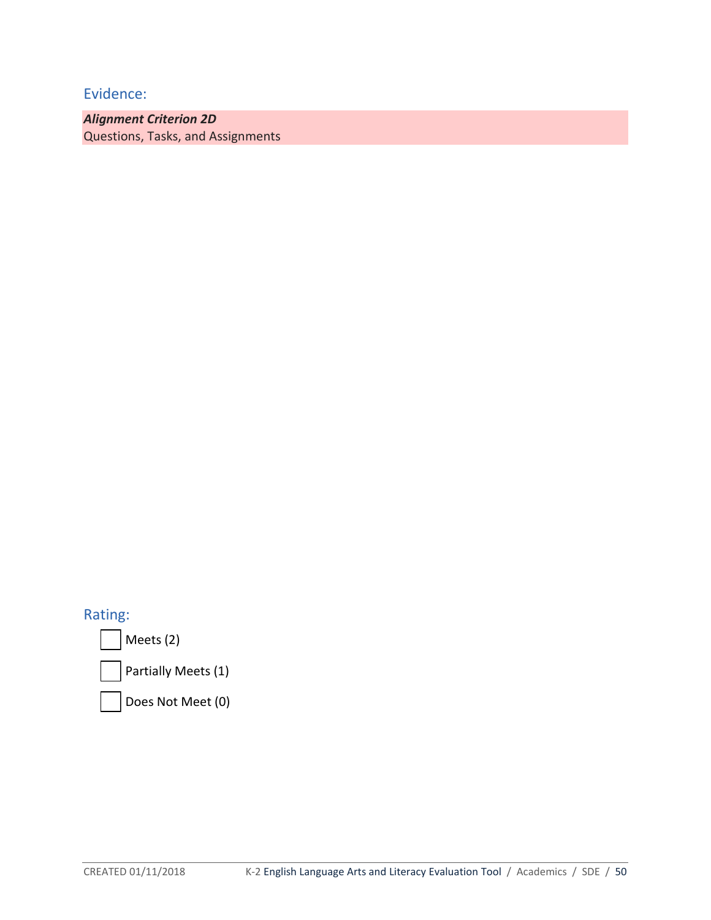*Alignment Criterion 2D* Questions, Tasks, and Assignments

Rating:

Meets (2)

Partially Meets (1)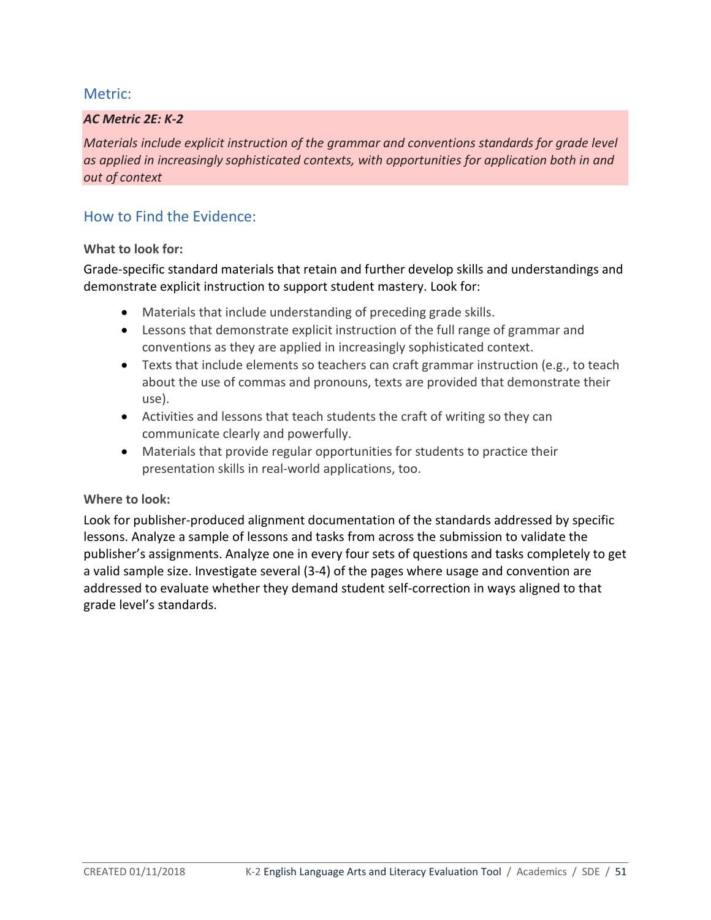### *AC Metric 2E: K-2*

*Materials include explicit instruction of the grammar and conventions standards for grade level as applied in increasingly sophisticated contexts, with opportunities for application both in and out of context*

## How to Find the Evidence:

### **What to look for:**

Grade-specific standard materials that retain and further develop skills and understandings and demonstrate explicit instruction to support student mastery. Look for:

- Materials that include understanding of preceding grade skills.
- Lessons that demonstrate explicit instruction of the full range of grammar and conventions as they are applied in increasingly sophisticated context.
- Texts that include elements so teachers can craft grammar instruction (e.g., to teach about the use of commas and pronouns, texts are provided that demonstrate their use).
- Activities and lessons that teach students the craft of writing so they can communicate clearly and powerfully.
- Materials that provide regular opportunities for students to practice their presentation skills in real-world applications, too.

### **Where to look:**

Look for publisher-produced alignment documentation of the standards addressed by specific lessons. Analyze a sample of lessons and tasks from across the submission to validate the publisher's assignments. Analyze one in every four sets of questions and tasks completely to get a valid sample size. Investigate several (3-4) of the pages where usage and convention are addressed to evaluate whether they demand student self-correction in ways aligned to that grade level's standards.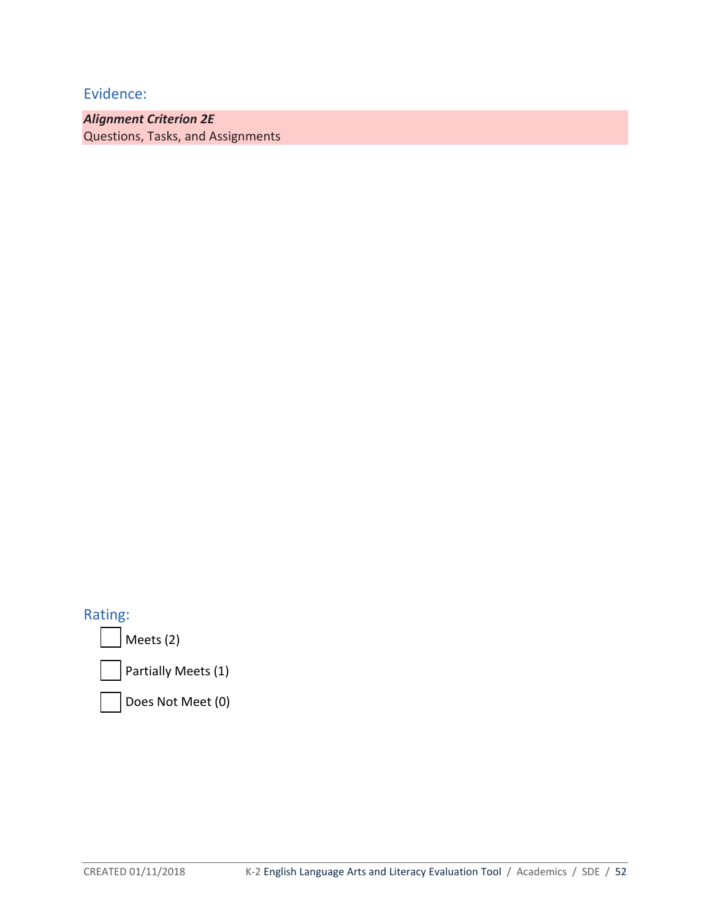*Alignment Criterion 2E* Questions, Tasks, and Assignments

Rating:

Meets (2)

Partially Meets (1)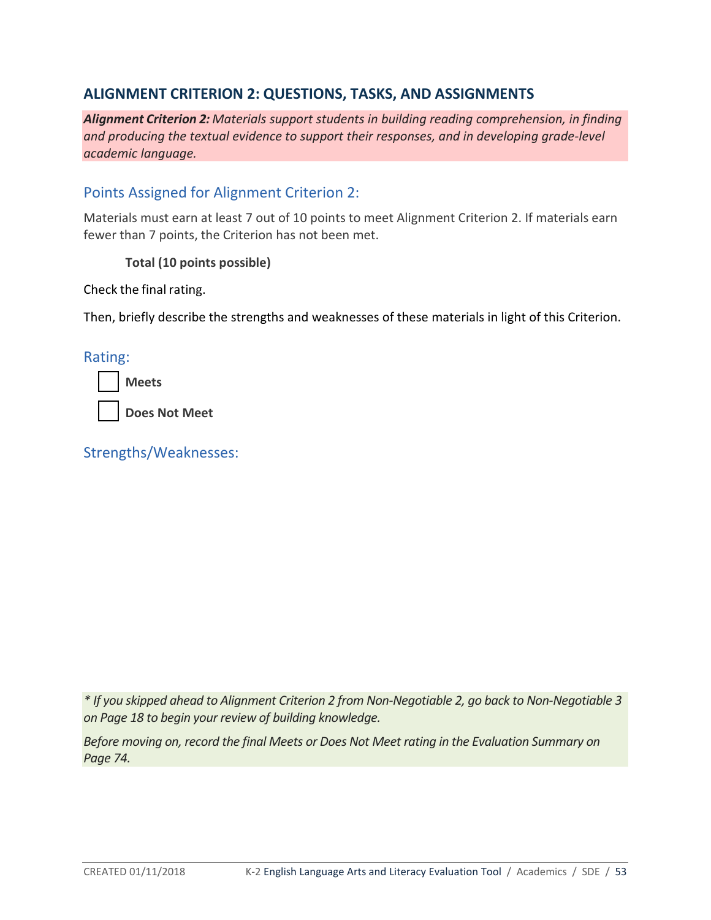## **ALIGNMENT CRITERION 2: QUESTIONS, TASKS, AND ASSIGNMENTS**

*Alignment Criterion 2: Materials support students in building reading comprehension, in finding and producing the textual evidence to support their responses, and in developing grade-level academic language.*

## Points Assigned for Alignment Criterion 2:

Materials must earn at least 7 out of 10 points to meet Alignment Criterion 2. If materials earn fewer than 7 points, the Criterion has not been met.

**Total (10 points possible)**

Check the final rating.

Then, briefly describe the strengths and weaknesses of these materials in light of this Criterion.

Rating:

**Meets**

**Does Not Meet**

Strengths/Weaknesses:

*\* If you skipped ahead to Alignment Criterion 2 from Non-Negotiable 2, go back to Non-Negotiable 3 on Page 18 to begin your review of building knowledge.*

*Before moving on, record the final Meets or Does Not Meet rating in the Evaluation Summary on Page 74.*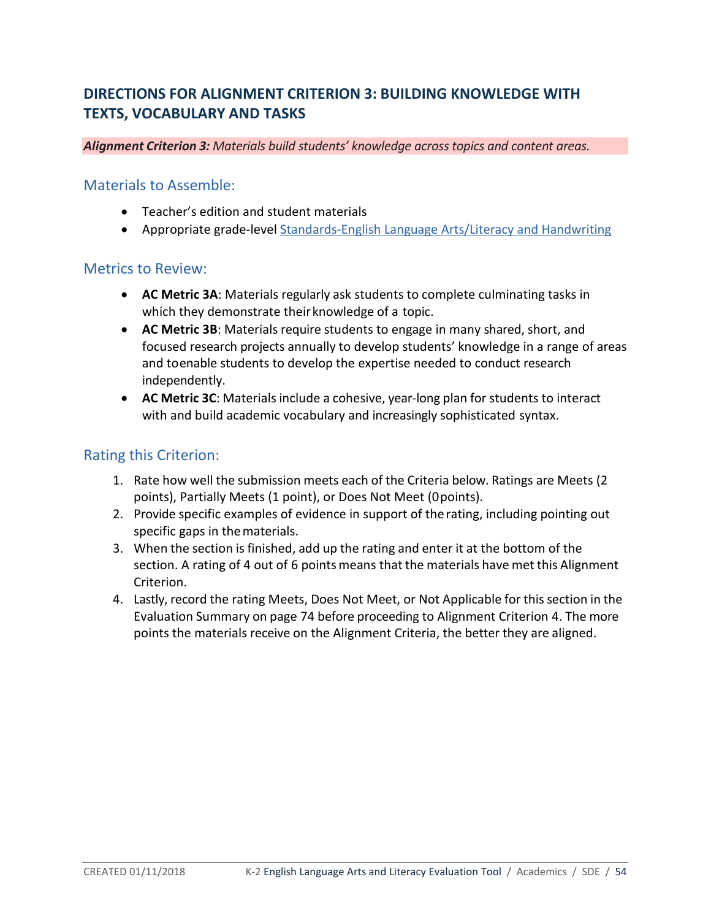# **DIRECTIONS FOR ALIGNMENT CRITERION 3: BUILDING KNOWLEDGE WITH TEXTS, VOCABULARY AND TASKS**

*Alignment Criterion 3: Materials build students' knowledge across topics and content areas.* 

### Materials to Assemble:

- Teacher's edition and student materials
- Appropriate grade-level [Standards-English Language Arts/Literacy and Handwriting](http://www.sde.idaho.gov/academic/shared/ela-literacy/booklets/ELA-Literacy-Standards.pdf)

## Metrics to Review:

- **AC Metric 3A**: Materials regularly ask students to complete culminating tasks in which they demonstrate their knowledge of a topic.
- **AC Metric 3B**: Materials require students to engage in many shared, short, and focused research projects annually to develop students' knowledge in a range of areas and toenable students to develop the expertise needed to conduct research independently.
- **AC Metric 3C**: Materials include a cohesive, year-long plan for students to interact with and build academic vocabulary and increasingly sophisticated syntax.

## Rating this Criterion:

- 1. Rate how well the submission meets each of the Criteria below. Ratings are Meets (2 points), Partially Meets (1 point), or Does Not Meet (0points).
- 2. Provide specific examples of evidence in support of therating, including pointing out specific gaps in thematerials.
- 3. When the section is finished, add up the rating and enter it at the bottom of the section. A rating of 4 out of 6 points means that the materials have met this Alignment Criterion.
- 4. Lastly, record the rating Meets, Does Not Meet, or Not Applicable for thissection in the Evaluation Summary on page 74 before proceeding to Alignment Criterion 4. The more points the materials receive on the Alignment Criteria, the better they are aligned.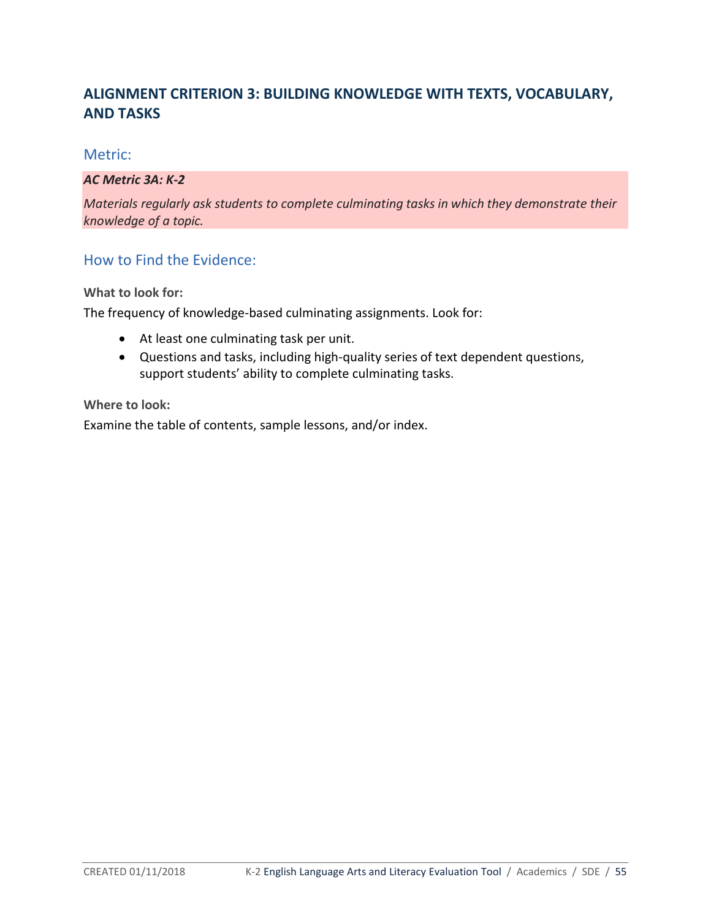# **ALIGNMENT CRITERION 3: BUILDING KNOWLEDGE WITH TEXTS, VOCABULARY, AND TASKS**

### Metric:

### *AC Metric 3A: K-2*

*Materials regularly ask students to complete culminating tasks in which they demonstrate their knowledge of a topic.*

## How to Find the Evidence:

**What to look for:**

The frequency of knowledge-based culminating assignments. Look for:

- At least one culminating task per unit.
- Questions and tasks, including high-quality series of text dependent questions, support students' ability to complete culminating tasks.

**Where to look:**

Examine the table of contents, sample lessons, and/or index.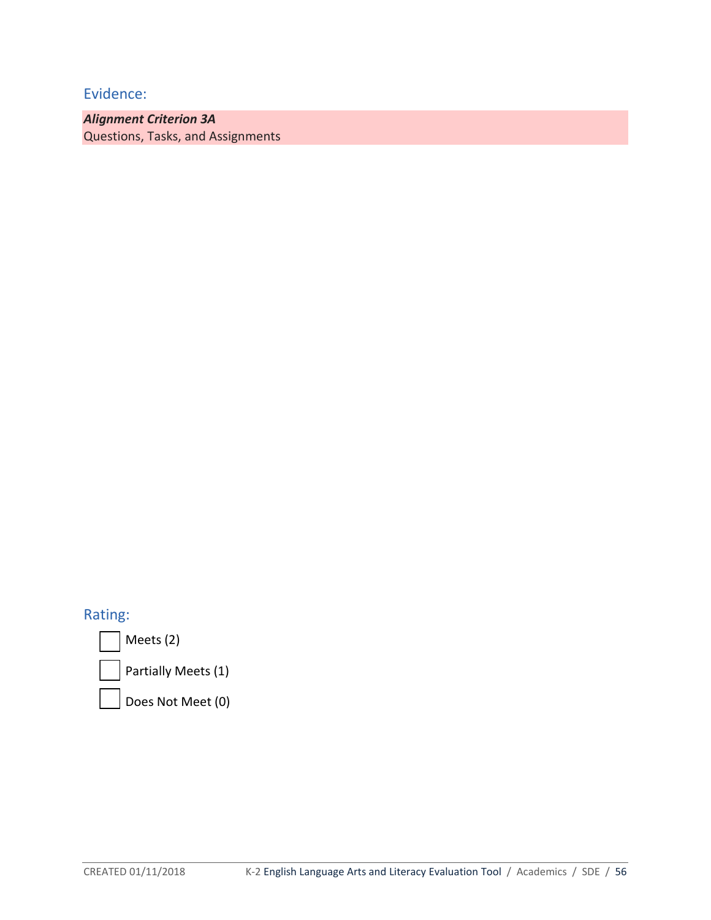*Alignment Criterion 3A* Questions, Tasks, and Assignments

Rating:

Meets (2)

Partially Meets (1)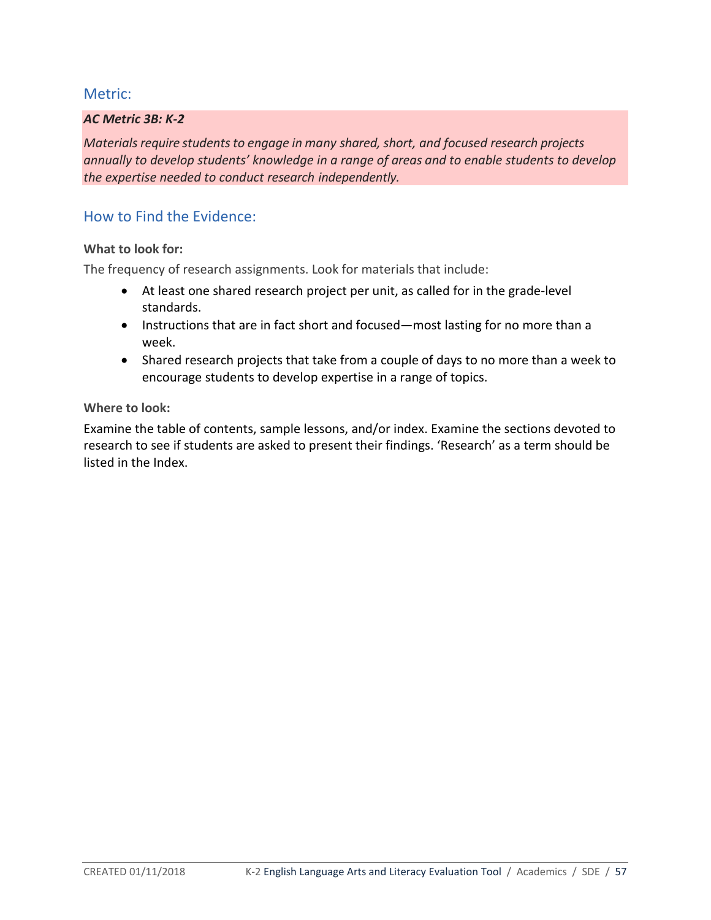### *AC Metric 3B: K-2*

*Materials require students to engage in many shared, short, and focused research projects annually to develop students' knowledge in a range of areas and to enable students to develop the expertise needed to conduct research independently.*

## How to Find the Evidence:

### **What to look for:**

The frequency of research assignments. Look for materials that include:

- At least one shared research project per unit, as called for in the grade-level standards.
- Instructions that are in fact short and focused—most lasting for no more than a week.
- Shared research projects that take from a couple of days to no more than a week to encourage students to develop expertise in a range of topics.

#### **Where to look:**

Examine the table of contents, sample lessons, and/or index. Examine the sections devoted to research to see if students are asked to present their findings. 'Research' as a term should be listed in the Index.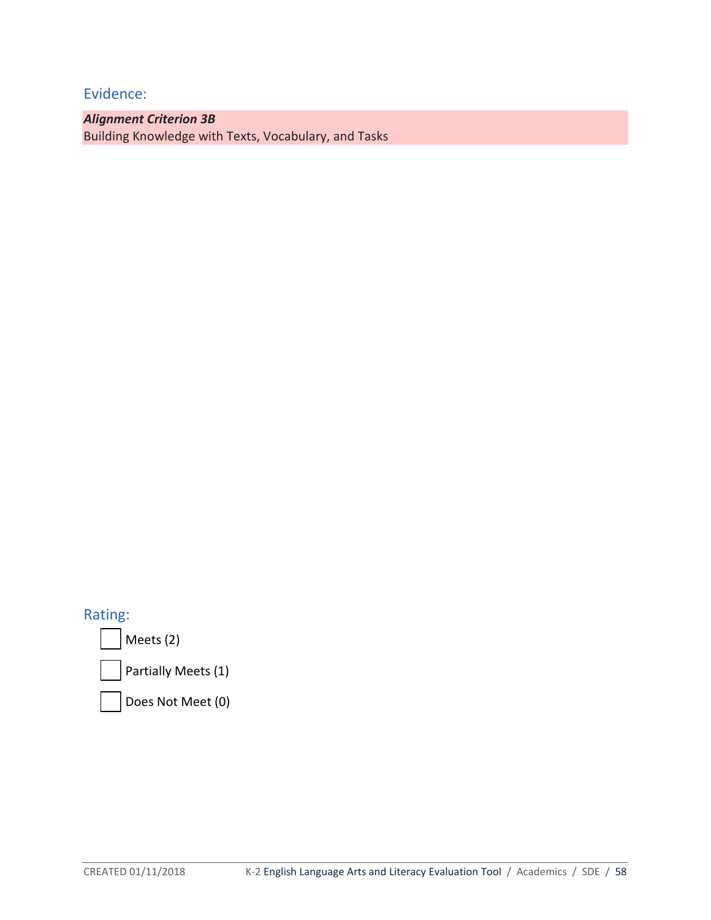*Alignment Criterion 3B* Building Knowledge with Texts, Vocabulary, and Tasks

Rating:

Meets (2)

Partially Meets (1)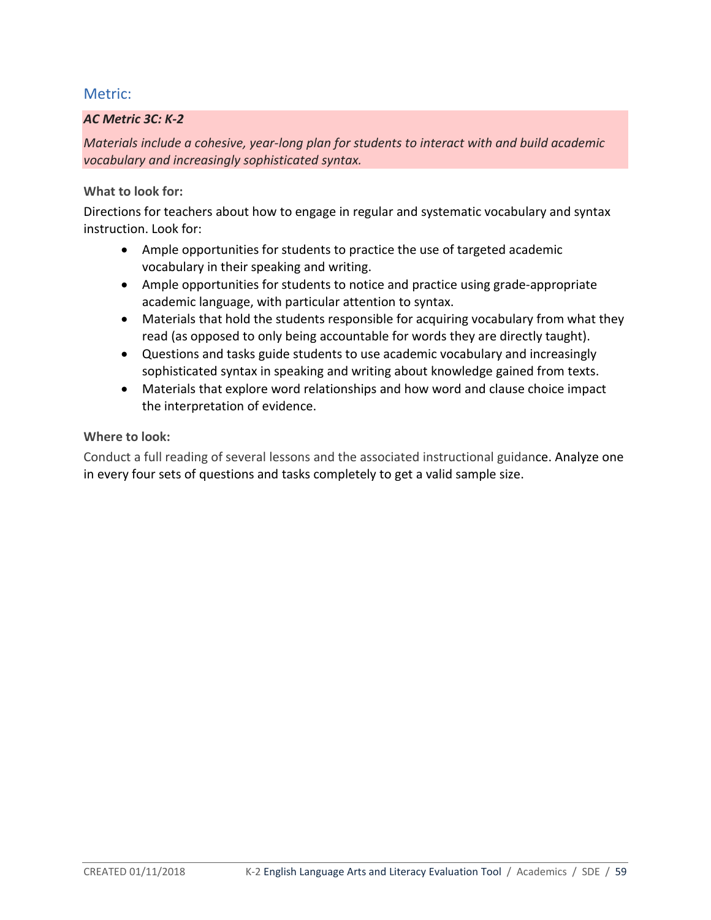### *AC Metric 3C: K-2*

*Materials include a cohesive, year-long plan for students to interact with and build academic vocabulary and increasingly sophisticated syntax.*

### **What to look for:**

Directions for teachers about how to engage in regular and systematic vocabulary and syntax instruction. Look for:

- Ample opportunities for students to practice the use of targeted academic vocabulary in their speaking and writing.
- Ample opportunities for students to notice and practice using grade-appropriate academic language, with particular attention to syntax.
- Materials that hold the students responsible for acquiring vocabulary from what they read (as opposed to only being accountable for words they are directly taught).
- Questions and tasks guide students to use academic vocabulary and increasingly sophisticated syntax in speaking and writing about knowledge gained from texts.
- Materials that explore word relationships and how word and clause choice impact the interpretation of evidence.

### **Where to look:**

Conduct a full reading of several lessons and the associated instructional guidance. Analyze one in every four sets of questions and tasks completely to get a valid sample size.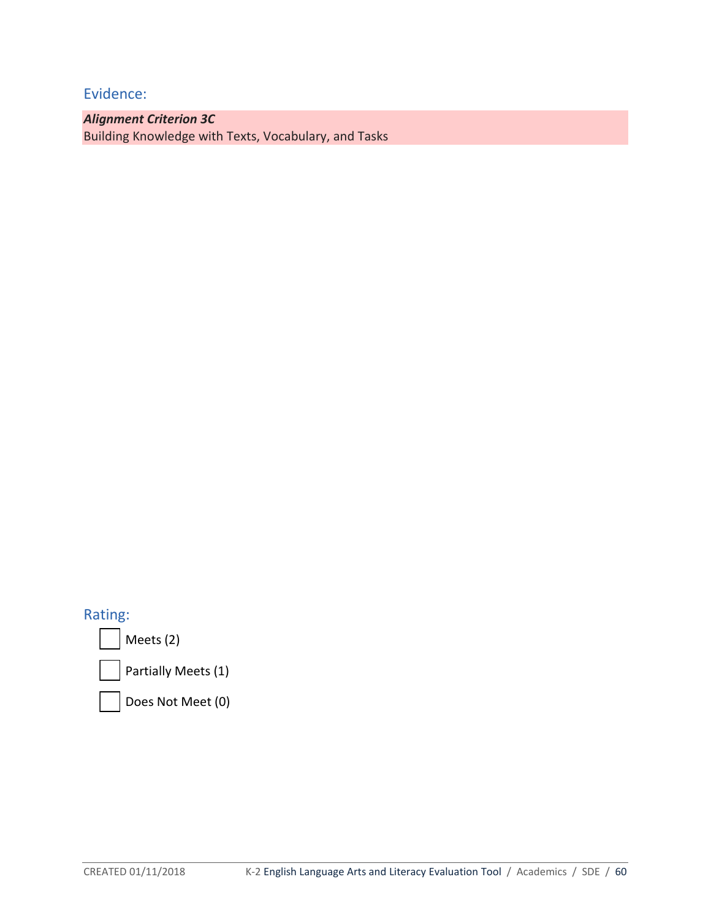*Alignment Criterion 3C*  Building Knowledge with Texts, Vocabulary, and Tasks

Rating:

Meets (2)

Partially Meets (1)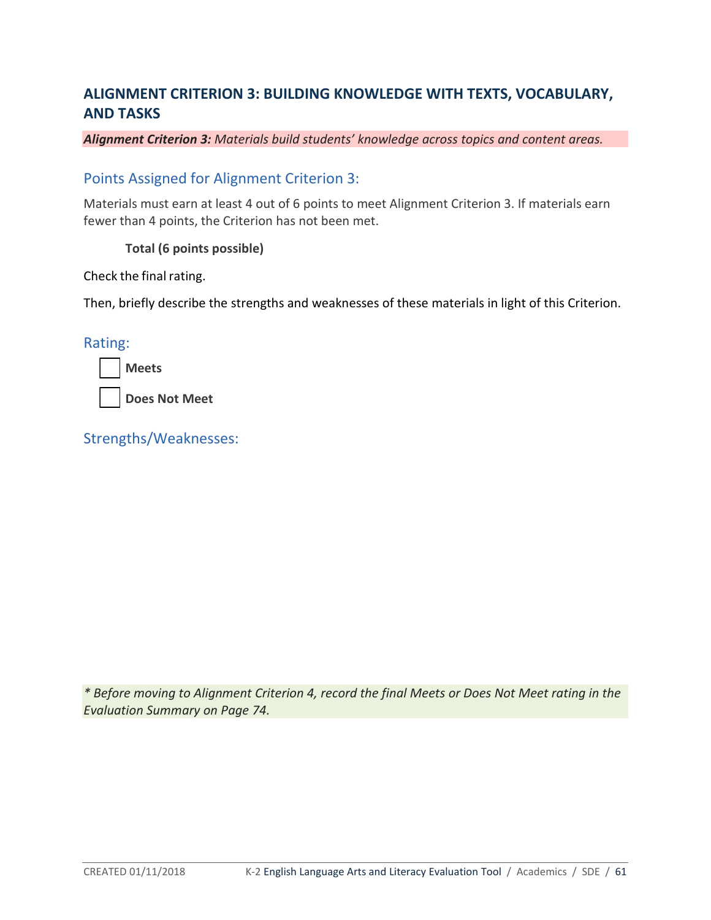# **ALIGNMENT CRITERION 3: BUILDING KNOWLEDGE WITH TEXTS, VOCABULARY, AND TASKS**

*Alignment Criterion 3: Materials build students' knowledge across topics and content areas.* 

## Points Assigned for Alignment Criterion 3:

Materials must earn at least 4 out of 6 points to meet Alignment Criterion 3. If materials earn fewer than 4 points, the Criterion has not been met.

### **Total (6 points possible)**

Check the final rating.

Then, briefly describe the strengths and weaknesses of these materials in light of this Criterion.

Rating:

**Does Not Meet**

Strengths/Weaknesses:

*\* Before moving to Alignment Criterion 4, record the final Meets or Does Not Meet rating in the Evaluation Summary on Page 74.*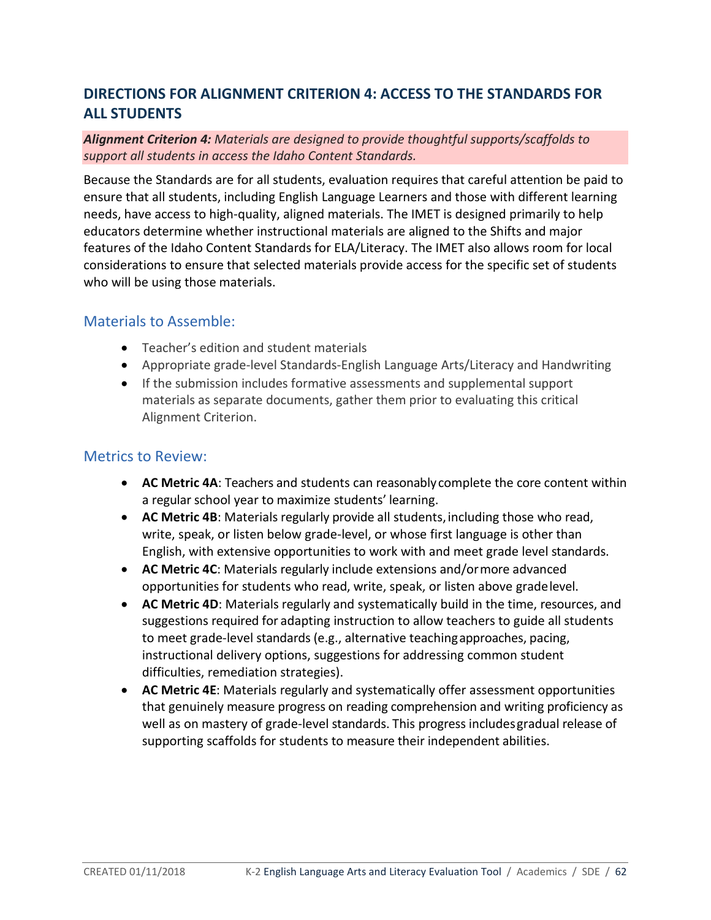# **DIRECTIONS FOR ALIGNMENT CRITERION 4: ACCESS TO THE STANDARDS FOR ALL STUDENTS**

### *Alignment Criterion 4: Materials are designed to provide thoughtful supports/scaffolds to support all students in access the Idaho Content Standards.*

Because the Standards are for all students, evaluation requires that careful attention be paid to ensure that all students, including English Language Learners and those with different learning needs, have access to high-quality, aligned materials. The IMET is designed primarily to help educators determine whether instructional materials are aligned to the Shifts and major features of the Idaho Content Standards for ELA/Literacy. The IMET also allows room for local considerations to ensure that selected materials provide access for the specific set of students who will be using those materials.

## Materials to Assemble:

- Teacher's edition and student materials
- Appropriate grade-level Standards-English Language Arts/Literacy and Handwriting
- If the submission includes formative assessments and supplemental support materials as separate documents, gather them prior to evaluating this critical Alignment Criterion.

## Metrics to Review:

- **AC Metric 4A**: Teachers and students can reasonablycomplete the core content within a regular school year to maximize students' learning.
- AC Metric 4B: Materials regularly provide all students, including those who read, write, speak, or listen below grade-level, or whose first language is other than English, with extensive opportunities to work with and meet grade level standards.
- **AC Metric 4C**: Materials regularly include extensions and/ormore advanced opportunities for students who read, write, speak, or listen above gradelevel.
- **AC Metric 4D**: Materials regularly and systematically build in the time, resources, and suggestions required for adapting instruction to allow teachers to guide all students to meet grade-level standards (e.g., alternative teachingapproaches, pacing, instructional delivery options, suggestions for addressing common student difficulties, remediation strategies).
- **AC Metric 4E**: Materials regularly and systematically offer assessment opportunities that genuinely measure progress on reading comprehension and writing proficiency as well as on mastery of grade-level standards. This progress includesgradual release of supporting scaffolds for students to measure their independent abilities.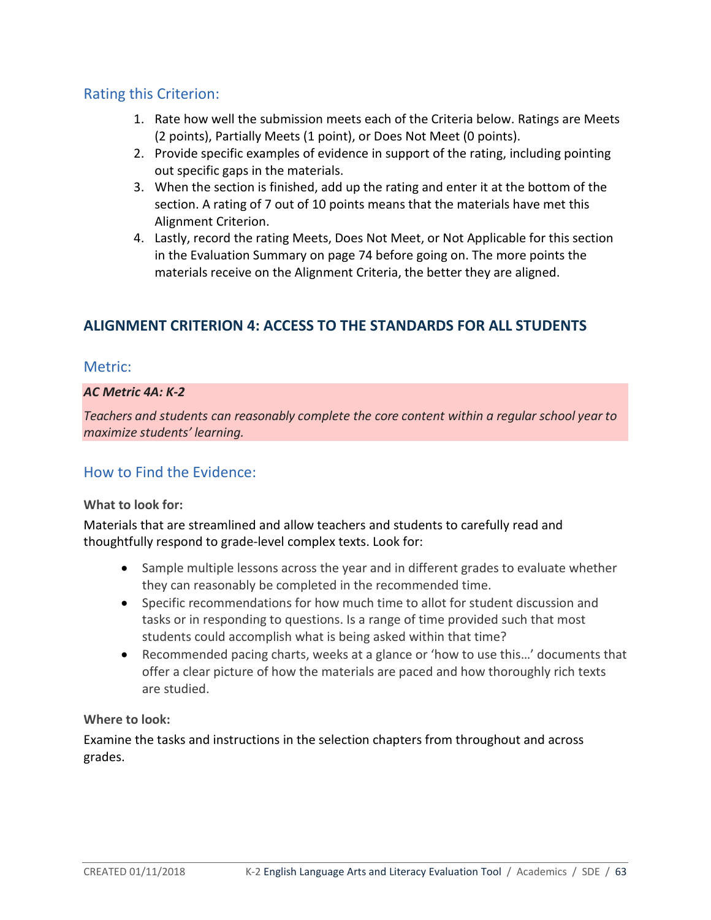## Rating this Criterion:

- 1. Rate how well the submission meets each of the Criteria below. Ratings are Meets (2 points), Partially Meets (1 point), or Does Not Meet (0 points).
- 2. Provide specific examples of evidence in support of the rating, including pointing out specific gaps in the materials.
- 3. When the section is finished, add up the rating and enter it at the bottom of the section. A rating of 7 out of 10 points means that the materials have met this Alignment Criterion.
- 4. Lastly, record the rating Meets, Does Not Meet, or Not Applicable for this section in the Evaluation Summary on page 74 before going on. The more points the materials receive on the Alignment Criteria, the better they are aligned.

# **ALIGNMENT CRITERION 4: ACCESS TO THE STANDARDS FOR ALL STUDENTS**

## Metric:

### *AC Metric 4A: K-2*

*Teachers and students can reasonably complete the core content within a regular school year to maximize students' learning.*

## How to Find the Evidence:

### **What to look for:**

Materials that are streamlined and allow teachers and students to carefully read and thoughtfully respond to grade-level complex texts. Look for:

- Sample multiple lessons across the year and in different grades to evaluate whether they can reasonably be completed in the recommended time.
- Specific recommendations for how much time to allot for student discussion and tasks or in responding to questions. Is a range of time provided such that most students could accomplish what is being asked within that time?
- Recommended pacing charts, weeks at a glance or 'how to use this…' documents that offer a clear picture of how the materials are paced and how thoroughly rich texts are studied.

### **Where to look:**

Examine the tasks and instructions in the selection chapters from throughout and across grades.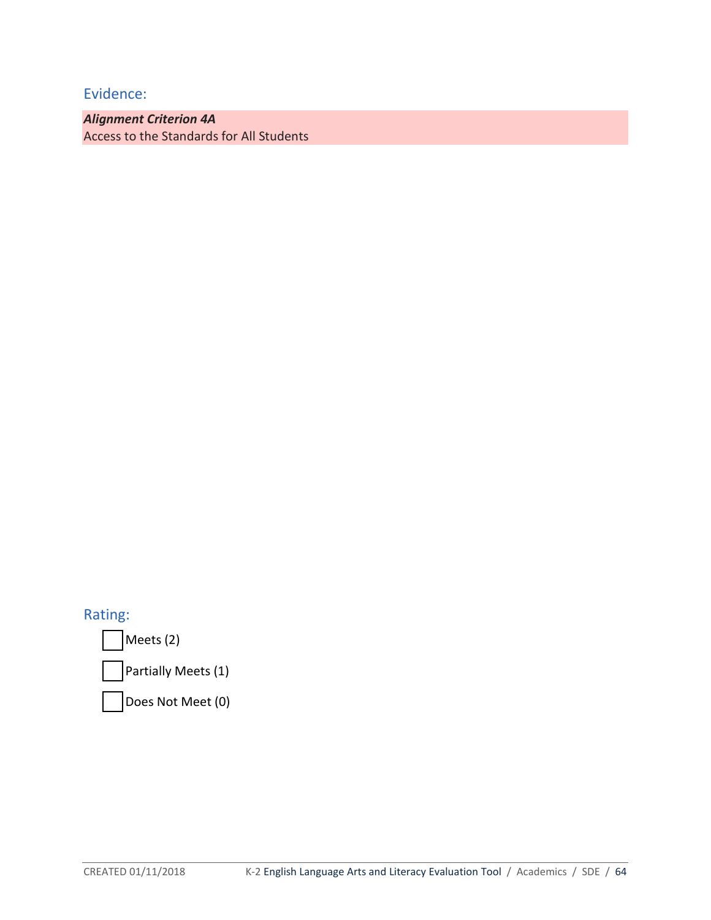*Alignment Criterion 4A* Access to the Standards for All Students

Rating:

Meets (2)

Partially Meets (1)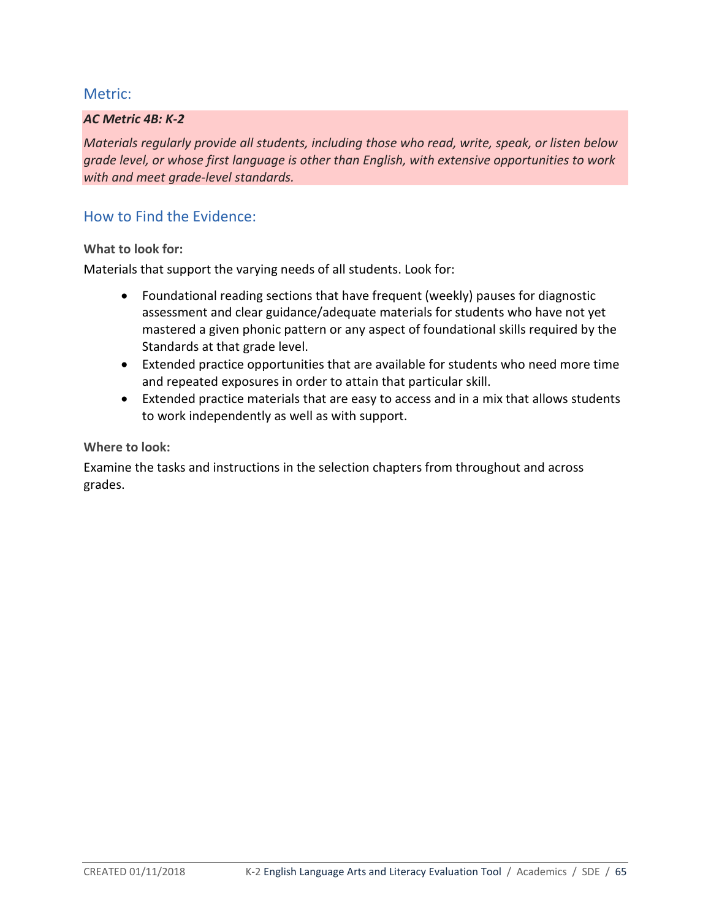### *AC Metric 4B: K-2*

*Materials regularly provide all students, including those who read, write, speak, or listen below grade level, or whose first language is other than English, with extensive opportunities to work with and meet grade-level standards.*

## How to Find the Evidence:

### **What to look for:**

Materials that support the varying needs of all students. Look for:

- Foundational reading sections that have frequent (weekly) pauses for diagnostic assessment and clear guidance/adequate materials for students who have not yet mastered a given phonic pattern or any aspect of foundational skills required by the Standards at that grade level.
- Extended practice opportunities that are available for students who need more time and repeated exposures in order to attain that particular skill.
- Extended practice materials that are easy to access and in a mix that allows students to work independently as well as with support.

**Where to look:**

Examine the tasks and instructions in the selection chapters from throughout and across grades.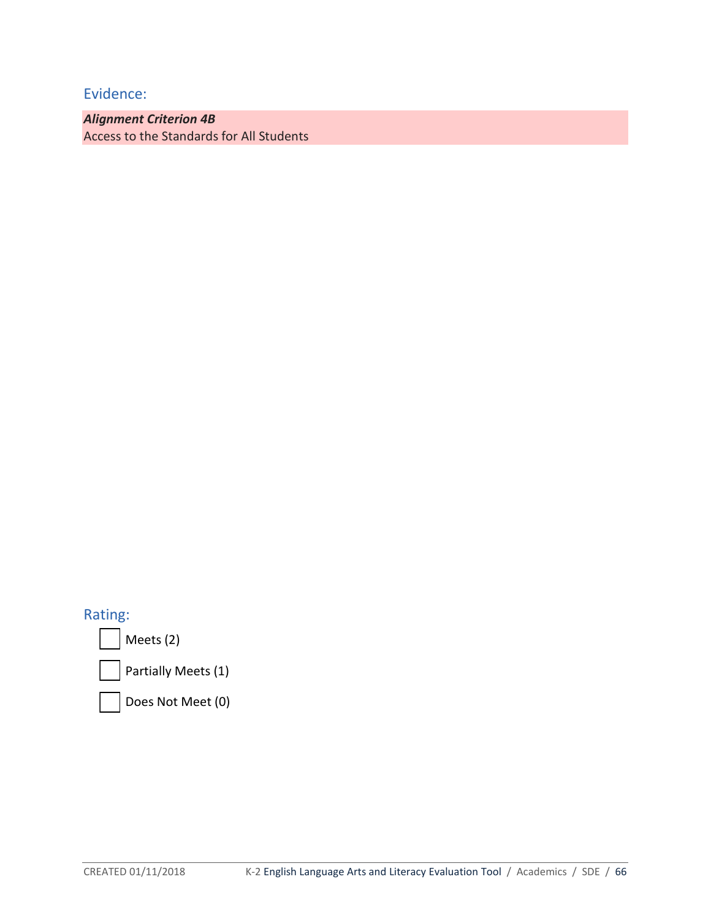*Alignment Criterion 4B* Access to the Standards for All Students

Rating:

Meets (2)

Partially Meets (1)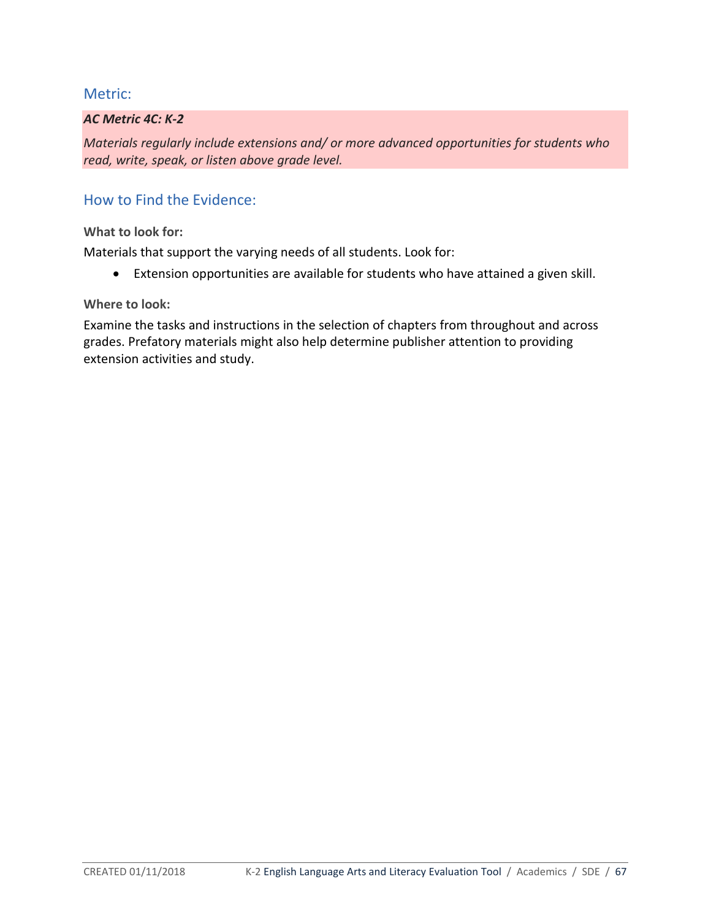### *AC Metric 4C: K-2*

*Materials regularly include extensions and/ or more advanced opportunities for students who read, write, speak, or listen above grade level.*

## How to Find the Evidence:

**What to look for:** 

Materials that support the varying needs of all students. Look for:

• Extension opportunities are available for students who have attained a given skill.

**Where to look:**

Examine the tasks and instructions in the selection of chapters from throughout and across grades. Prefatory materials might also help determine publisher attention to providing extension activities and study.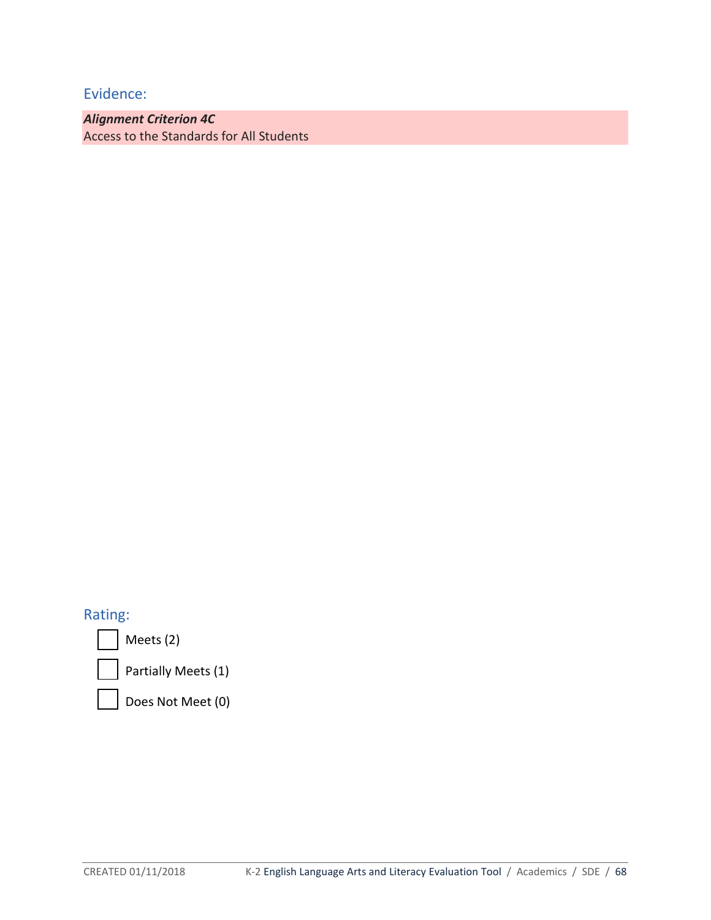*Alignment Criterion 4C*  Access to the Standards for All Students

## Rating:

Meets (2)



Partially Meets (1)

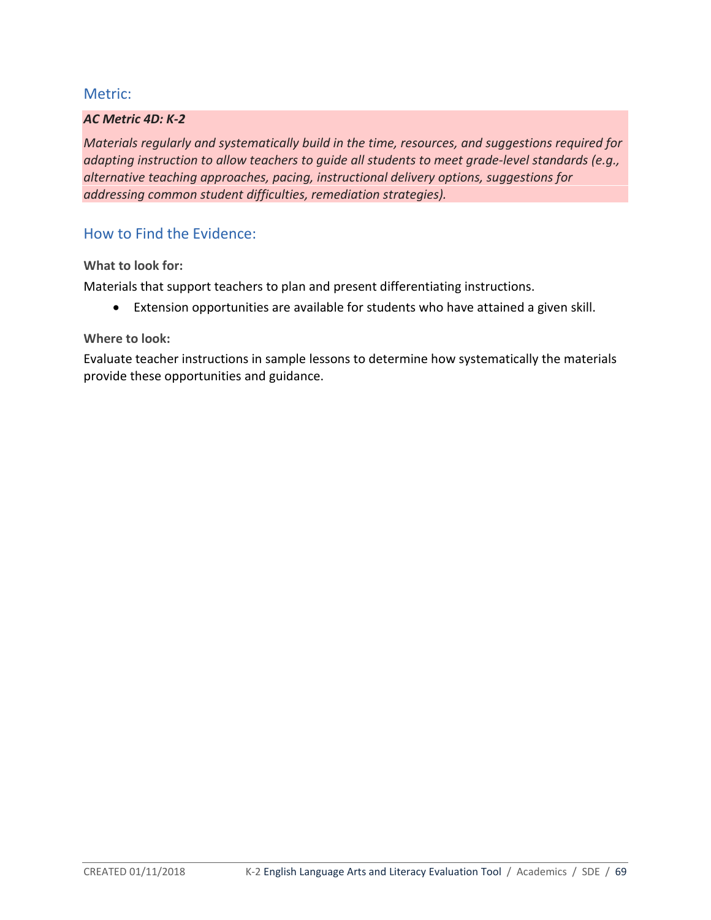### *AC Metric 4D: K-2*

*Materials regularly and systematically build in the time, resources, and suggestions required for adapting instruction to allow teachers to guide all students to meet grade-level standards (e.g., alternative teaching approaches, pacing, instructional delivery options, suggestions for addressing common student difficulties, remediation strategies).*

### How to Find the Evidence:

**What to look for:** 

Materials that support teachers to plan and present differentiating instructions.

• Extension opportunities are available for students who have attained a given skill.

### **Where to look:**

Evaluate teacher instructions in sample lessons to determine how systematically the materials provide these opportunities and guidance.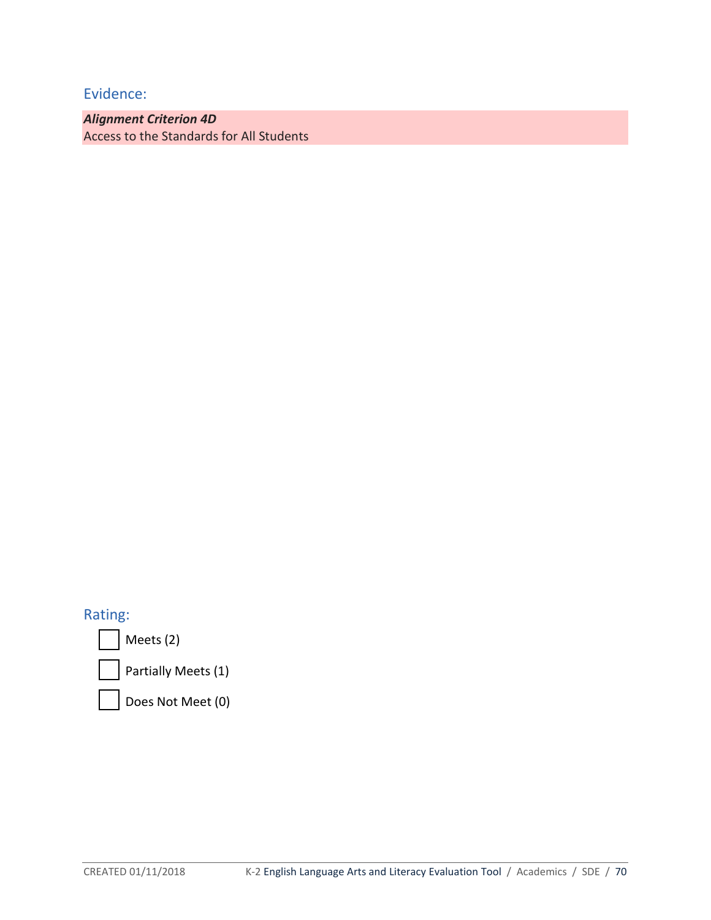*Alignment Criterion 4D* Access to the Standards for All Students

Rating:

Meets (2)

Partially Meets (1)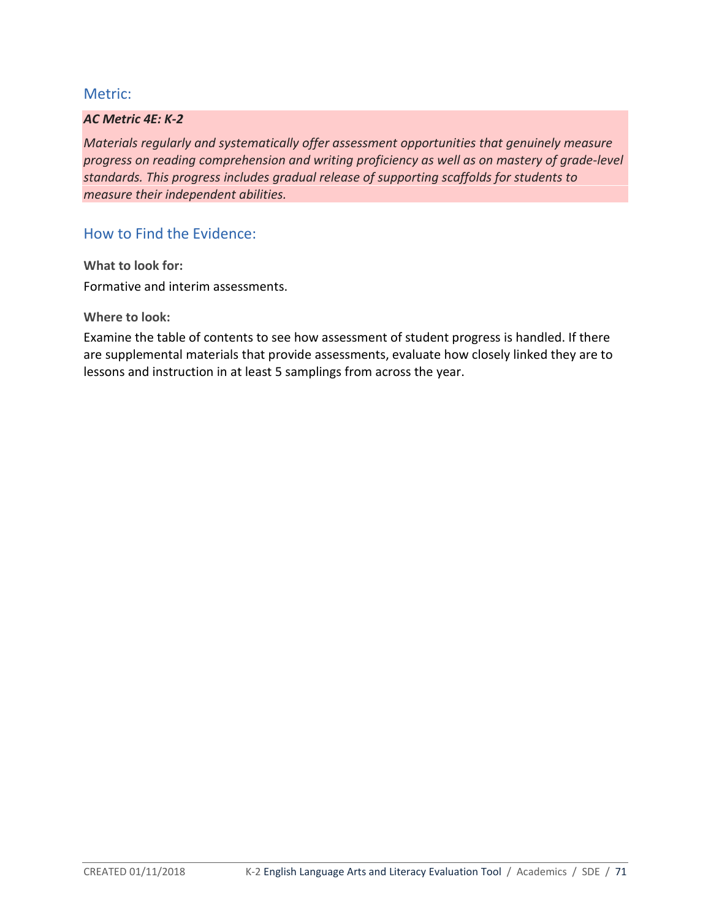### *AC Metric 4E: K-2*

*Materials regularly and systematically offer assessment opportunities that genuinely measure progress on reading comprehension and writing proficiency as well as on mastery of grade-level standards. This progress includes gradual release of supporting scaffolds for students to measure their independent abilities.*

How to Find the Evidence:

**What to look for:** Formative and interim assessments.

**Where to look:**

Examine the table of contents to see how assessment of student progress is handled. If there are supplemental materials that provide assessments, evaluate how closely linked they are to lessons and instruction in at least 5 samplings from across the year.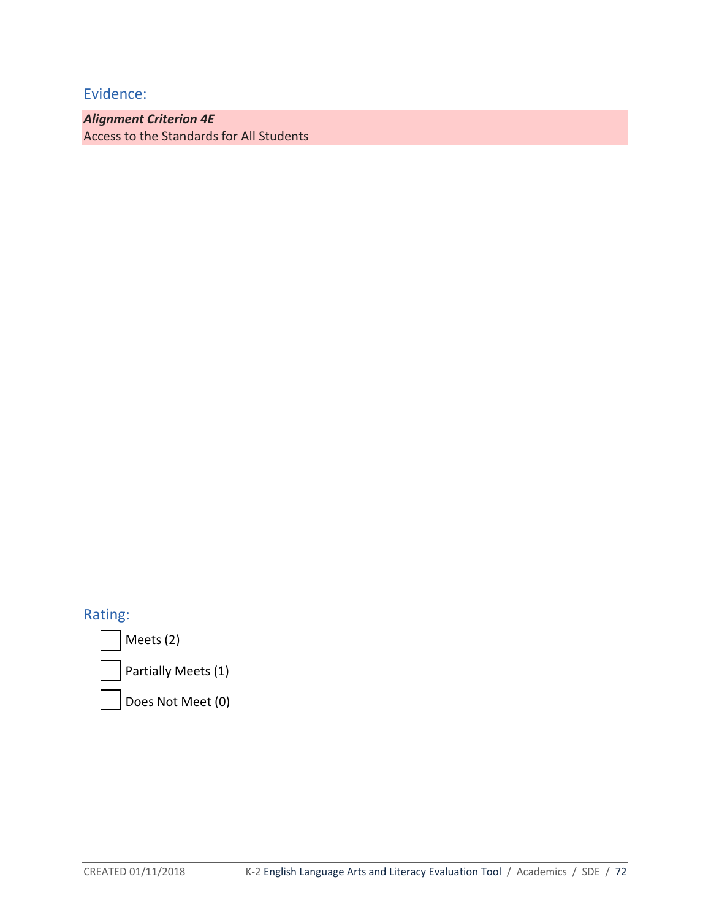*Alignment Criterion 4E* Access to the Standards for All Students

Rating:

Meets (2)

Partially Meets (1)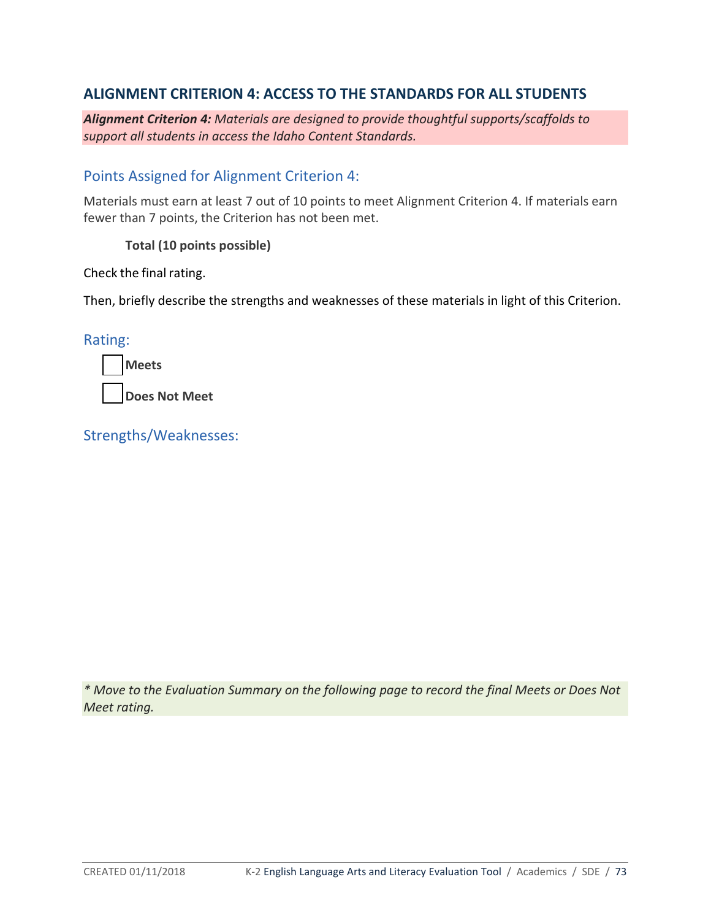## **ALIGNMENT CRITERION 4: ACCESS TO THE STANDARDS FOR ALL STUDENTS**

*Alignment Criterion 4: Materials are designed to provide thoughtful supports/scaffolds to support all students in access the Idaho Content Standards.*

#### Points Assigned for Alignment Criterion 4:

Materials must earn at least 7 out of 10 points to meet Alignment Criterion 4. If materials earn fewer than 7 points, the Criterion has not been met.

#### **Total (10 points possible)**

Check the final rating.

Then, briefly describe the strengths and weaknesses of these materials in light of this Criterion.

Rating:

| <b>IMeets</b> |  |
|---------------|--|
|               |  |

**Does Not Meet**

Strengths/Weaknesses:

*\* Move to the Evaluation Summary on the following page to record the final Meets or Does Not Meet rating.*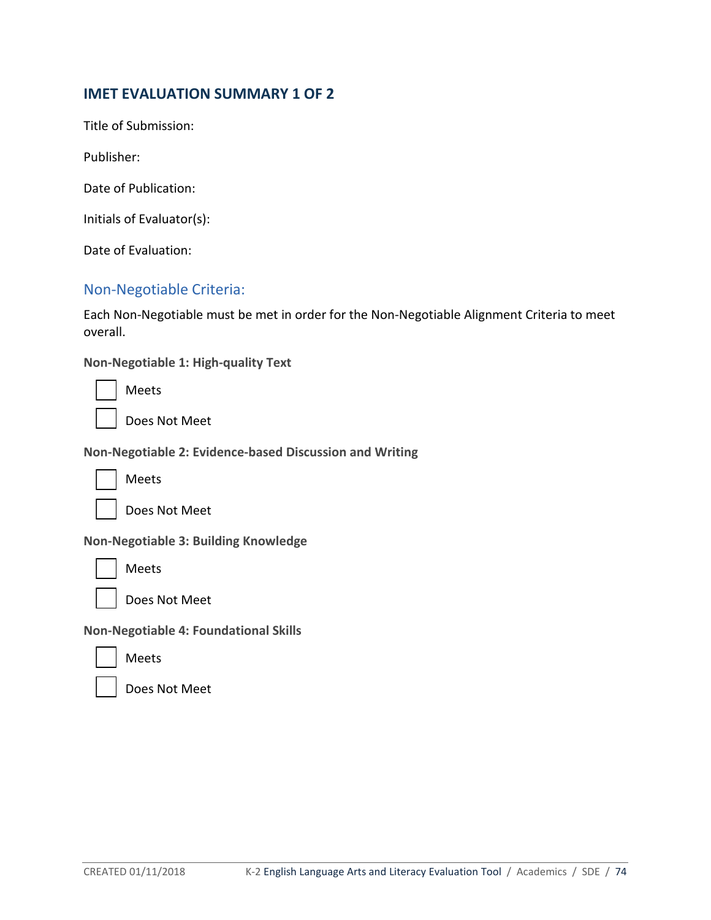### **IMET EVALUATION SUMMARY 1 OF 2**

Title of Submission:

Publisher:

Date of Publication:

Initials of Evaluator(s):

Date of Evaluation:

#### Non-Negotiable Criteria:

Each Non-Negotiable must be met in order for the Non-Negotiable Alignment Criteria to meet overall.

**Non-Negotiable 1: High-quality Text**

| Meets |
|-------|
|       |

**Does Not Meet** 

**Non-Negotiable 2: Evidence-based Discussion and Writing**



Meets



**Non-Negotiable 3: Building Knowledge**



Does Not Meet

**Non-Negotiable 4: Foundational Skills**

Meets

Does Not Meet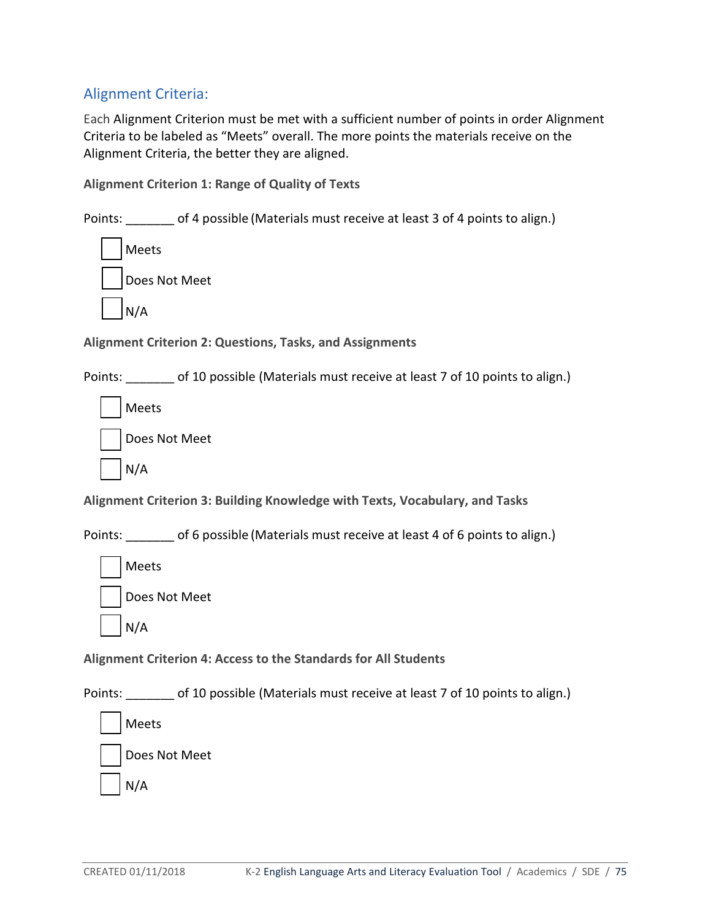# Alignment Criteria:

Each Alignment Criterion must be met with a sufficient number of points in order Alignment Criteria to be labeled as "Meets" overall. The more points the materials receive on the Alignment Criteria, the better they are aligned.

**Alignment Criterion 1: Range of Quality of Texts**

Points: of 4 possible (Materials must receive at least 3 of 4 points to align.)

| Meets         |
|---------------|
| Does Not Meet |
| N/A           |

**Alignment Criterion 2: Questions, Tasks, and Assignments** 

Points: \_\_\_\_\_\_\_ of 10 possible (Materials must receive at least 7 of 10 points to align.)

Meets



**Alignment Criterion 3: Building Knowledge with Texts, Vocabulary, and Tasks**

Points: of 6 possible (Materials must receive at least 4 of 6 points to align.)



N/A

**Alignment Criterion 4: Access to the Standards for All Students**

Points: \_\_\_\_\_\_\_ of 10 possible (Materials must receive at least 7 of 10 points to align.)

Meets

Does Not Meet

N/A